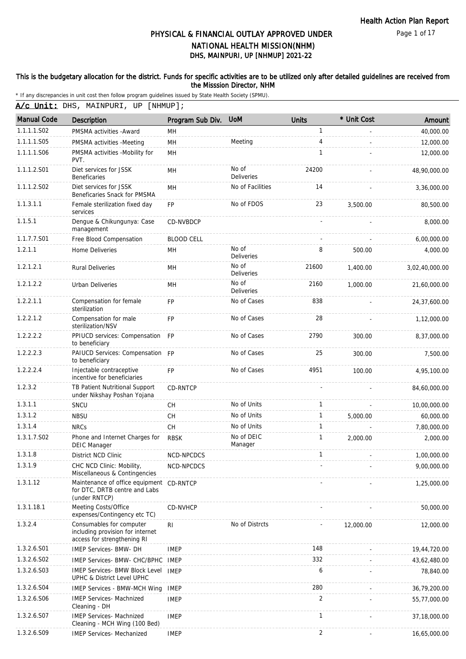Page 1 of 17

# DHS, MAINPURI, UP [NHMUP] 2021-22 PHYSICAL & FINANCIAL OUTLAY APPROVED UNDER NATIONAL HEALTH MISSION(NHM)

### This is the budgetary allocation for the district. Funds for specific activities are to be utilized only after detailed guidelines are received from the Misssion Director, NHM

|  | A/c Unit: DHS, MAINPURI, UP [NHMUP]; |  |  |
|--|--------------------------------------|--|--|
|  |                                      |  |  |

| <b>Manual Code</b> | <b>Description</b>                                                                          | Program Sub Div.  | <b>UoM</b>                 | <b>Units</b> | * Unit Cost | Amount         |
|--------------------|---------------------------------------------------------------------------------------------|-------------------|----------------------------|--------------|-------------|----------------|
| 1.1.1.1.S02        | PMSMA activities - Award                                                                    | MН                |                            | 1            |             | 40,000.00      |
| 1.1.1.1.S05        | PMSMA activities -Meeting                                                                   | MH                | Meeting                    | 4            |             | 12,000.00      |
| 1.1.1.1.S06        | PMSMA activities -Mobility for<br>PVT.                                                      | MH                |                            | $\mathbf{1}$ |             | 12,000.00      |
| 1.1.1.2.S01        | Diet services for JSSK<br><b>Beneficaries</b>                                               | MH                | No of<br><b>Deliveries</b> | 24200        |             | 48,90,000.00   |
| 1.1.1.2.S02        | Diet services for JSSK<br>Beneficaries Snack for PMSMA                                      | MH                | No of Facilities           | 14           |             | 3,36,000.00    |
| 1.1.3.1.1          | Female sterilization fixed day<br>services                                                  | <b>FP</b>         | No of FDOS                 | 23           | 3,500.00    | 80,500.00      |
| 1.1.5.1            | Dengue & Chikungunya: Case<br>management                                                    | CD-NVBDCP         |                            |              |             | 8,000.00       |
| 1.1.7.7.S01        | Free Blood Compensation                                                                     | <b>BLOOD CELL</b> |                            |              |             | 6,00,000.00    |
| 1.2.1.1            | Home Deliveries                                                                             | <b>MH</b>         | No of<br><b>Deliveries</b> | 8            | 500.00      | 4,000.00       |
| 1.2.1.2.1          | <b>Rural Deliveries</b>                                                                     | MH                | No of<br><b>Deliveries</b> | 21600        | 1,400.00    | 3,02,40,000.00 |
| 1.2.1.2.2          | <b>Urban Deliveries</b>                                                                     | MH                | No of<br>Deliveries        | 2160         | 1,000.00    | 21,60,000.00   |
| 1.2.2.1.1          | Compensation for female<br>sterilization                                                    | <b>FP</b>         | No of Cases                | 838          |             | 24,37,600.00   |
| 1.2.2.1.2          | Compensation for male<br>sterilization/NSV                                                  | FP                | No of Cases                | 28           |             | 1,12,000.00    |
| 1.2.2.2.2          | PPIUCD services: Compensation FP<br>to beneficiary                                          |                   | No of Cases                | 2790         | 300.00      | 8,37,000.00    |
| 1.2.2.2.3          | PAIUCD Services: Compensation FP<br>to beneficiary                                          |                   | No of Cases                | 25           | 300.00      | 7,500.00       |
| 1.2.2.2.4          | Injectable contraceptive<br>incentive for beneficiaries                                     | <b>FP</b>         | No of Cases                | 4951         | 100.00      | 4,95,100.00    |
| 1.2.3.2            | TB Patient Nutritional Support<br>under Nikshay Poshan Yojana                               | <b>CD-RNTCP</b>   |                            |              |             | 84,60,000.00   |
| 1.3.1.1            | SNCU                                                                                        | <b>CH</b>         | No of Units                | 1            |             | 10,00,000.00   |
| 1.3.1.2            | <b>NBSU</b>                                                                                 | <b>CH</b>         | No of Units                | $\mathbf{1}$ | 5,000.00    | 60,000.00      |
| 1.3.1.4            | <b>NRCs</b>                                                                                 | CH                | No of Units                | 1            |             | 7,80,000.00    |
| 1.3.1.7.S02        | Phone and Internet Charges for<br><b>DEIC Manager</b>                                       | <b>RBSK</b>       | No of DEIC<br>Manager      | 1            | 2,000.00    | 2,000.00       |
| 1.3.1.8            | District NCD Clinic                                                                         | NCD-NPCDCS        |                            | 1            |             | 1,00,000.00    |
| 1.3.1.9            | CHC NCD Clinic: Mobility,<br>Miscellaneous & Contingencies                                  | NCD-NPCDCS        |                            |              |             | 9,00,000.00    |
| 1.3.1.12           | Maintenance of office equipment CD-RNTCP<br>for DTC, DRTB centre and Labs<br>(under RNTCP)  |                   |                            |              |             | 1,25,000.00    |
| 1.3.1.18.1         | Meeting Costs/Office<br>expenses/Contingency etc TC)                                        | CD-NVHCP          |                            |              |             | 50,000.00      |
| 1.3.2.4            | Consumables for computer<br>including provision for internet<br>access for strengthening RI | R <sub>l</sub>    | No of Distrcts             |              | 12,000.00   | 12,000.00      |
| 1.3.2.6.S01        | <b>IMEP Services- BMW- DH</b>                                                               | <b>IMEP</b>       |                            | 148          |             | 19,44,720.00   |
| 1.3.2.6.S02        | IMEP Services- BMW- CHC/BPHC IMEP                                                           |                   |                            | 332          |             | 43,62,480.00   |
| 1.3.2.6.S03        | <b>IMEP Services- BMW Block Level</b><br>UPHC & District Level UPHC                         | <b>IMEP</b>       |                            | 6            |             | 78,840.00      |
| 1.3.2.6.S04        | <b>IMEP Services - BMW-MCH Wing</b>                                                         | <b>IMEP</b>       |                            | 280          |             | 36,79,200.00   |
| 1.3.2.6.S06        | <b>IMEP Services- Machnized</b><br>Cleaning - DH                                            | <b>IMEP</b>       |                            | 2            |             | 55,77,000.00   |
| 1.3.2.6.S07        | <b>IMEP Services- Machnized</b><br>Cleaning - MCH Wing (100 Bed)                            | <b>IMEP</b>       |                            | 1            |             | 37,18,000.00   |
| 1.3.2.6.S09        | IMEP Services- Mechanized                                                                   | <b>IMEP</b>       |                            | 2            |             | 16,65,000.00   |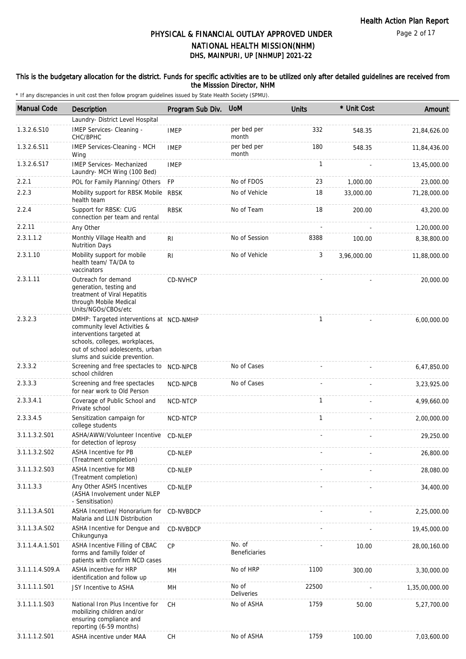### This is the budgetary allocation for the district. Funds for specific activities are to be utilized only after detailed guidelines are received from the Misssion Director, NHM

| <b>Manual Code</b> | <b>Description</b>                                                                                                                                                                                           | Program Sub Div. | <b>UoM</b>                     | <b>Units</b> | * Unit Cost | Amount         |
|--------------------|--------------------------------------------------------------------------------------------------------------------------------------------------------------------------------------------------------------|------------------|--------------------------------|--------------|-------------|----------------|
|                    | Laundry- District Level Hospital                                                                                                                                                                             |                  |                                |              |             |                |
| 1.3.2.6.S10        | IMEP Services- Cleaning -<br>CHC/BPHC                                                                                                                                                                        | <b>IMEP</b>      | per bed per<br>month           | 332          | 548.35      | 21,84,626.00   |
| 1.3.2.6.S11        | IMEP Services-Cleaning - MCH<br>Wing                                                                                                                                                                         | <b>IMEP</b>      | per bed per<br>month           | 180          | 548.35      | 11,84,436.00   |
| 1.3.2.6.S17        | <b>IMEP Services- Mechanized</b><br>Laundry- MCH Wing (100 Bed)                                                                                                                                              | <b>IMEP</b>      |                                | 1            |             | 13,45,000.00   |
| 2.2.1              | POL for Family Planning/ Others                                                                                                                                                                              | <b>FP</b>        | No of FDOS                     | 23           | 1,000.00    | 23,000.00      |
| 2.2.3              | Mobility support for RBSK Mobile<br>health team                                                                                                                                                              | <b>RBSK</b>      | No of Vehicle                  | 18           | 33,000.00   | 71,28,000.00   |
| 2.2.4              | Support for RBSK: CUG<br>connection per team and rental                                                                                                                                                      | <b>RBSK</b>      | No of Team                     | 18           | 200.00      | 43,200.00      |
| 2.2.11             | Any Other                                                                                                                                                                                                    |                  |                                |              |             | 1,20,000.00    |
| 2.3.1.1.2          | Monthly Village Health and<br><b>Nutrition Days</b>                                                                                                                                                          | R <sub>l</sub>   | No of Session                  | 8388         | 100.00      | 8,38,800.00    |
| 2.3.1.10           | Mobility support for mobile<br>health team/ TA/DA to<br>vaccinators                                                                                                                                          | R <sub>l</sub>   | No of Vehicle                  | 3            | 3,96,000.00 | 11,88,000.00   |
| 2.3.1.11           | Outreach for demand<br>generation, testing and<br>treatment of Viral Hepatitis<br>through Mobile Medical<br>Units/NGOs/CBOs/etc                                                                              | CD-NVHCP         |                                |              |             | 20,000.00      |
| 2.3.2.3            | DMHP: Targeted interventions at NCD-NMHP<br>community level Activities &<br>interventions targeted at<br>schools, colleges, workplaces,<br>out of school adolescents, urban<br>slums and suicide prevention. |                  |                                | $\mathbf{1}$ |             | 6,00,000.00    |
| 2.3.3.2            | Screening and free spectacles to<br>school children                                                                                                                                                          | NCD-NPCB         | No of Cases                    |              |             | 6,47,850.00    |
| 2.3.3.3            | Screening and free spectacles<br>for near work to Old Person                                                                                                                                                 | NCD-NPCB         | No of Cases                    |              |             | 3,23,925.00    |
| 2.3.3.4.1          | Coverage of Public School and<br>Private school                                                                                                                                                              | NCD-NTCP         |                                | $\mathbf{1}$ |             | 4,99,660.00    |
| 2.3.3.4.5          | Sensitization campaign for<br>college students                                                                                                                                                               | NCD-NTCP         |                                | $\mathbf{1}$ |             | 2,00,000.00    |
| 3.1.1.3.2.S01      | ASHA/AWW/Volunteer Incentive<br>for detection of leprosy                                                                                                                                                     | CD-NLEP          |                                |              |             | 29,250.00      |
| 3.1.1.3.2.S02      | <b>ASHA Incentive for PB</b><br>(Treatment completion)                                                                                                                                                       | CD-NLEP          |                                |              |             | 26,800.00      |
| 3.1.1.3.2.S03      | <b>ASHA Incentive for MB</b><br>(Treatment completion)                                                                                                                                                       | CD-NLEP          |                                |              |             | 28,080.00      |
| 3.1.1.3.3          | Any Other ASHS Incentives<br>(ASHA Involvement under NLEP<br>- Sensitisation)                                                                                                                                | CD-NLEP          |                                |              |             | 34,400.00      |
| 3.1.1.3.A.S01      | ASHA Incentive/ Honorarium for<br>Malaria and LLIN Distribution                                                                                                                                              | CD-NVBDCP        |                                |              |             | 2,25,000.00    |
| 3.1.1.3.A.S02      | ASHA Incentive for Dengue and<br>Chikungunya                                                                                                                                                                 | CD-NVBDCP        |                                |              |             | 19,45,000.00   |
| 3.1.1.4.A.1.S01    | ASHA Incentive Filling of CBAC<br>forms and familly folder of<br>patients with confirm NCD cases                                                                                                             | CP               | No. of<br><b>Beneficiaries</b> |              | 10.00       | 28,00,160.00   |
| 3.1.1.1.4.S09.A    | ASHA incentive for HRP<br>identification and follow up                                                                                                                                                       | MH               | No of HRP                      | 1100         | 300.00      | 3,30,000.00    |
| 3.1.1.1.1.S01      | JSY Incentive to ASHA                                                                                                                                                                                        | MН               | No of<br><b>Deliveries</b>     | 22500        |             | 1,35,00,000.00 |
| 3.1.1.1.1.S03      | National Iron Plus Incentive for<br>mobilizing children and/or<br>ensuring compliance and<br>reporting (6-59 months)                                                                                         | <b>CH</b>        | No of ASHA                     | 1759         | 50.00       | 5,27,700.00    |
| 3.1.1.1.2.S01      | ASHA incentive under MAA                                                                                                                                                                                     | <b>CH</b>        | No of ASHA                     | 1759         | 100.00      | 7,03,600.00    |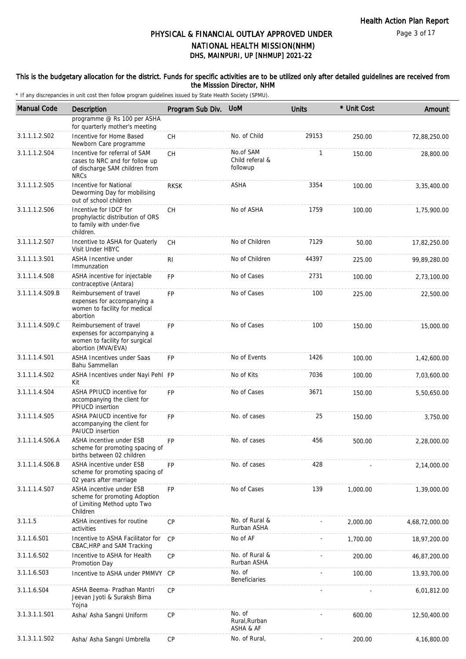### This is the budgetary allocation for the district. Funds for specific activities are to be utilized only after detailed guidelines are received from the Misssion Director, NHM

| <b>Manual Code</b> | Description                                                                                                      | Program Sub Div. | <b>UoM</b>                               | <b>Units</b> | * Unit Cost | Amount         |
|--------------------|------------------------------------------------------------------------------------------------------------------|------------------|------------------------------------------|--------------|-------------|----------------|
|                    | programme @ Rs 100 per ASHA<br>for quarterly mother's meeting                                                    |                  |                                          |              |             |                |
| 3.1.1.1.2.S02      | Incentive for Home Based<br>Newborn Care programme                                                               | СH               | No. of Child                             | 29153        | 250.00      | 72,88,250.00   |
| 3.1.1.1.2.S04      | Incentive for referral of SAM<br>cases to NRC and for follow up<br>of discharge SAM children from<br><b>NRCs</b> | <b>CH</b>        | No.of SAM<br>Child referal &<br>followup | $\mathbf{1}$ | 150.00      | 28,800.00      |
| 3.1.1.1.2.S05      | Incentive for National<br>Deworming Day for mobilising<br>out of school children                                 | <b>RKSK</b>      | ASHA                                     | 3354         | 100.00      | 3,35,400.00    |
| 3.1.1.1.2.S06      | Incentive for IDCF for<br>prophylactic distribution of ORS<br>to family with under-five<br>children.             | <b>CH</b>        | No of ASHA                               | 1759         | 100.00      | 1,75,900.00    |
| 3.1.1.1.2.S07      | Incentive to ASHA for Quaterly<br>Visit Under HBYC                                                               | <b>CH</b>        | No of Children                           | 7129         | 50.00       | 17,82,250.00   |
| 3.1.1.1.3.S01      | ASHA Incentive under<br>Immunzation                                                                              | RI               | No of Children                           | 44397        | 225.00      | 99,89,280.00   |
| 3.1.1.1.4.S08      | ASHA incentive for injectable<br>contraceptive (Antara)                                                          | FP               | No of Cases                              | 2731         | 100.00      | 2,73,100.00    |
| 3.1.1.1.4.S09.B    | Reimbursement of travel<br>expenses for accompanying a<br>women to facility for medical<br>abortion              | <b>FP</b>        | No of Cases                              | 100          | 225.00      | 22,500.00      |
| 3.1.1.1.4.S09.C    | Reimbursement of travel<br>expenses for accompanying a<br>women to facility for surgical<br>abortion (MVA/EVA)   | <b>FP</b>        | No of Cases                              | 100          | 150.00      | 15,000.00      |
| 3.1.1.1.4.S01      | ASHA Incentives under Saas<br>Bahu Sammellan                                                                     | <b>FP</b>        | No of Events                             | 1426         | 100.00      | 1,42,600.00    |
| 3.1.1.1.4.S02      | ASHA Incentives under Nayi Pehl FP<br>Kit                                                                        |                  | No of Kits                               | 7036         | 100.00      | 7,03,600.00    |
| 3.1.1.1.4.S04      | ASHA PPIUCD incentive for<br>accompanying the client for<br>PPIUCD insertion                                     | <b>FP</b>        | No of Cases                              | 3671         | 150.00      | 5,50,650.00    |
| 3.1.1.1.4.S05      | ASHA PAIUCD incentive for<br>accompanying the client for<br><b>PAIUCD</b> insertion                              | <b>FP</b>        | No. of cases                             | 25           | 150.00      | 3,750.00       |
| 3.1.1.1.4.S06.A    | ASHA incentive under ESB<br>scheme for promoting spacing of<br>births between 02 children                        | <b>FP</b>        | No. of cases                             | 456          | 500.00      | 2,28,000.00    |
| 3.1.1.1.4.S06.B    | ASHA incentive under ESB<br>scheme for promoting spacing of<br>02 years after marriage                           | FP               | No. of cases                             | 428          |             | 2,14,000.00    |
| 3.1.1.1.4.S07      | ASHA incentive under ESB<br>scheme for promoting Adoption<br>of Limiting Method upto Two<br>Children             | FP               | No of Cases                              | 139          | 1,000.00    | 1,39,000.00    |
| 3.1.1.5            | ASHA incentives for routine<br>activities                                                                        | <b>CP</b>        | No. of Rural &<br>Rurban ASHA            |              | 2,000.00    | 4,68,72,000.00 |
| 3.1.1.6.S01        | Incentive to ASHA Facilitator for<br>CBAC, HRP and SAM Tracking                                                  | <b>CP</b>        | No of AF                                 |              | 1,700.00    | 18,97,200.00   |
| 3.1.1.6.S02        | Incentive to ASHA for Health<br>Promotion Day                                                                    | CP               | No. of Rural &<br>Rurban ASHA            |              | 200.00      | 46,87,200.00   |
| 3.1.1.6.S03        | Incentive to ASHA under PMMVY CP                                                                                 |                  | No. of<br>Beneficiaries                  |              | 100.00      | 13,93,700.00   |
| 3.1.1.6.S04        | ASHA Beema- Pradhan Mantri<br>Jeevan Jyoti & Suraksh Bima<br>Yojna                                               | CP               |                                          |              |             | 6,01,812.00    |
| 3.1.3.1.1.S01      | Asha/ Asha Sangni Uniform                                                                                        | CP               | No. of<br>Rural, Rurban<br>ASHA & AF     |              | 600.00      | 12,50,400.00   |
| 3.1.3.1.1.S02      | Asha/ Asha Sangni Umbrella                                                                                       | <b>CP</b>        | No. of Rural,                            |              | 200.00      | 4,16,800.00    |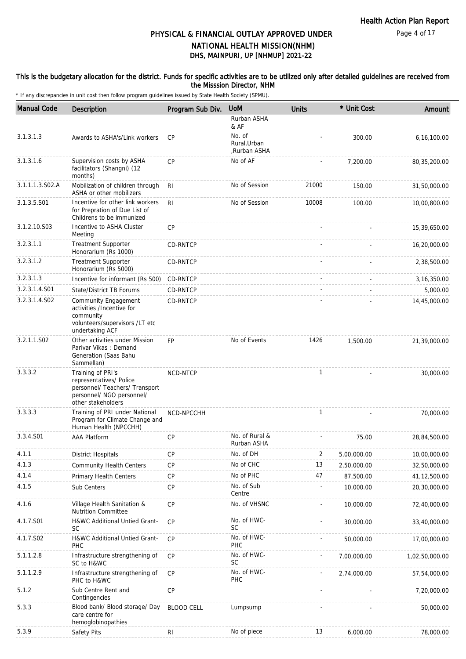### This is the budgetary allocation for the district. Funds for specific activities are to be utilized only after detailed guidelines are received from the Misssion Director, NHM

| <b>Manual Code</b> | <b>Description</b>                                                                                                                | Program Sub Div.  | <b>UoM</b>                             | <b>Units</b>   | * Unit Cost | Amount         |
|--------------------|-----------------------------------------------------------------------------------------------------------------------------------|-------------------|----------------------------------------|----------------|-------------|----------------|
|                    |                                                                                                                                   |                   | Rurban ASHA<br>& AF                    |                |             |                |
| 3.1.3.1.3          | Awards to ASHA's/Link workers                                                                                                     | <b>CP</b>         | No. of<br>Rural, Urban<br>,Rurban ASHA |                | 300.00      | 6,16,100.00    |
| 3.1.3.1.6          | Supervision costs by ASHA<br>facilitators (Shangni) (12<br>months)                                                                | <b>CP</b>         | No of AF                               |                | 7,200.00    | 80, 35, 200.00 |
| 3.1.1.1.3.S02.A    | Mobilization of children through<br>ASHA or other mobilizers                                                                      | R <sub>l</sub>    | No of Session                          | 21000          | 150.00      | 31,50,000.00   |
| 3.1.3.5.S01        | Incentive for other link workers<br>for Prepration of Due List of<br>Childrens to be immunized                                    | R <sub>l</sub>    | No of Session                          | 10008          | 100.00      | 10,00,800.00   |
| 3.1.2.10.S03       | Incentive to ASHA Cluster<br>Meeting                                                                                              | CP                |                                        |                |             | 15,39,650.00   |
| 3.2.3.1.1          | <b>Treatment Supporter</b><br>Honorarium (Rs 1000)                                                                                | CD-RNTCP          |                                        |                |             | 16,20,000.00   |
| 3.2.3.1.2          | <b>Treatment Supporter</b><br>Honorarium (Rs 5000)                                                                                | CD-RNTCP          |                                        |                |             | 2,38,500.00    |
| 3.2.3.1.3          | Incentive for informant (Rs 500)                                                                                                  | <b>CD-RNTCP</b>   |                                        |                |             | 3, 16, 350.00  |
| 3.2.3.1.4.S01      | State/District TB Forums                                                                                                          | CD-RNTCP          |                                        |                |             | 5,000.00       |
| 3.2.3.1.4.S02      | <b>Community Engagement</b><br>activities /Incentive for<br>community<br>volunteers/supervisors /LT etc<br>undertaking ACF        | CD-RNTCP          |                                        |                |             | 14,45,000.00   |
| 3.2.1.1.S02        | Other activities under Mission<br>Parivar Vikas: Demand<br>Generation (Saas Bahu<br>Sammellan)                                    | <b>FP</b>         | No of Events                           | 1426           | 1,500.00    | 21,39,000.00   |
| 3.3.3.2            | Training of PRI's<br>representatives/ Police<br>personnel/ Teachers/ Transport<br>personnel/ NGO personnel/<br>other stakeholders | <b>NCD-NTCP</b>   |                                        | $\mathbf{1}$   |             | 30,000.00      |
| 3.3.3.3            | Training of PRI under National<br>Program for Climate Change and<br>Human Health (NPCCHH)                                         | NCD-NPCCHH        |                                        | $\mathbf{1}$   |             | 70,000.00      |
| 3.3.4.S01          | <b>AAA Platform</b>                                                                                                               | CP                | No. of Rural &<br>Rurban ASHA          |                | 75.00       | 28,84,500.00   |
| 4.1.1              | <b>District Hospitals</b>                                                                                                         | CP                | No. of DH                              | $\overline{2}$ | 5,00,000.00 | 10,00,000.00   |
| 4.1.3              | <b>Community Health Centers</b>                                                                                                   | CP                | No of CHC                              | 13             | 2,50,000.00 | 32,50,000.00   |
| 4.1.4              | Primary Health Centers                                                                                                            | <b>CP</b>         | No of PHC                              | 47             | 87,500.00   | 41,12,500.00   |
| 4.1.5              | Sub Centers                                                                                                                       | CP                | No. of Sub<br>Centre                   |                | 10,000.00   | 20,30,000.00   |
| 4.1.6              | Village Health Sanitation &<br><b>Nutrition Committee</b>                                                                         | CP                | No. of VHSNC                           |                | 10,000.00   | 72,40,000.00   |
| 4.1.7.S01          | H&WC Additional Untied Grant-<br><b>SC</b>                                                                                        | CP                | No. of HWC-<br>SC                      |                | 30,000.00   | 33,40,000.00   |
| 4.1.7.S02          | H&WC Additional Untied Grant-<br>PHC                                                                                              | CP                | No. of HWC-<br>PHC                     |                | 50,000.00   | 17,00,000.00   |
| 5.1.1.2.8          | Infrastructure strengthening of<br>SC to H&WC                                                                                     | CP                | No. of HWC-<br><b>SC</b>               |                | 7,00,000.00 | 1,02,50,000.00 |
| 5.1.1.2.9          | Infrastructure strengthening of<br>PHC to H&WC                                                                                    | CP                | No. of HWC-<br>PHC                     |                | 2,74,000.00 | 57,54,000.00   |
| 5.1.2              | Sub Centre Rent and<br>Contingencies                                                                                              | CP                |                                        |                |             | 7,20,000.00    |
| 5.3.3              | Blood bank/ Blood storage/ Day<br>care centre for<br>hemoglobinopathies                                                           | <b>BLOOD CELL</b> | Lumpsump                               |                |             | 50,000.00      |
| 5.3.9              | Safety Pits                                                                                                                       | R <sub>l</sub>    | No of piece                            | 13             | 6,000.00    | 78,000.00      |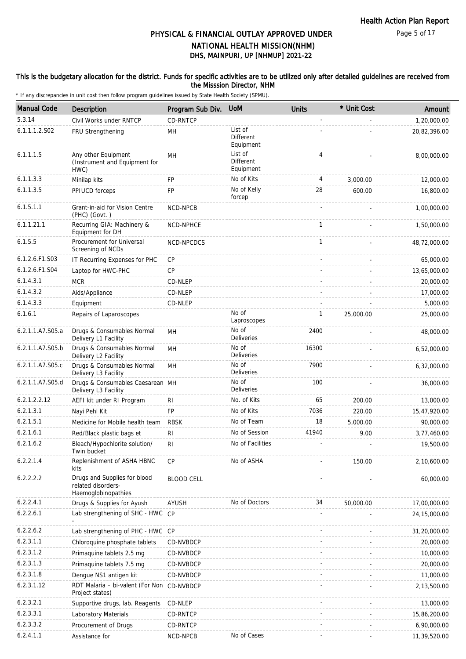### This is the budgetary allocation for the district. Funds for specific activities are to be utilized only after detailed guidelines are received from the Misssion Director, NHM

| <b>Manual Code</b> | Description                                                               | Program Sub Div.  | <b>UoM</b>                               | <b>Units</b> | * Unit Cost | Amount         |
|--------------------|---------------------------------------------------------------------------|-------------------|------------------------------------------|--------------|-------------|----------------|
| 5.3.14             | Civil Works under RNTCP                                                   | CD-RNTCP          |                                          |              |             | 1,20,000.00    |
| 6.1.1.1.2.S02      | FRU Strengthening                                                         | MH                | List of<br>Different<br>Equipment        |              |             | 20,82,396.00   |
| 6.1.1.1.5          | Any other Equipment<br>(Instrument and Equipment for<br>HWC)              | MH                | List of<br><b>Different</b><br>Equipment | 4            |             | 8,00,000.00    |
| 6.1.1.3.3          | Minilap kits                                                              | <b>FP</b>         | No of Kits                               | 4            | 3.000.00    | 12,000.00      |
| 6.1.1.3.5          | PPIUCD forceps                                                            | FP                | No of Kelly<br>forcep                    | 28           | 600.00      | 16,800.00      |
| 6.1.5.1.1          | Grant-in-aid for Vision Centre<br>(PHC) (Govt.)                           | NCD-NPCB          |                                          |              |             | 1,00,000.00    |
| 6.1.1.21.1         | Recurring GIA: Machinery &<br>Equipment for DH                            | NCD-NPHCE         |                                          | $\mathbf{1}$ |             | 1,50,000.00    |
| 6.1.5.5            | Procurement for Universal<br>Screening of NCDs                            | NCD-NPCDCS        |                                          | $\mathbf{1}$ |             | 48,72,000.00   |
| 6.1.2.6.F1.S03     | IT Recurring Expenses for PHC                                             | <b>CP</b>         |                                          |              |             | 65,000.00      |
| 6.1.2.6.F1.S04     | Laptop for HWC-PHC                                                        | CP                |                                          |              |             | 13,65,000.00   |
| 6.1.4.3.1          | <b>MCR</b>                                                                | CD-NLEP           |                                          |              |             | 20,000.00      |
| 6.1.4.3.2          | Aids/Appliance                                                            | CD-NLEP           |                                          |              |             | 17,000.00      |
| 6.1.4.3.3          | Equipment                                                                 | CD-NLEP           |                                          |              |             | 5,000.00       |
| 6.1.6.1            | Repairs of Laparoscopes                                                   |                   | No of<br>Laproscopes                     | 1            | 25,000.00   | 25,000.00      |
| 6.2.1.1.A7.S05.a   | Drugs & Consumables Normal<br>Delivery L1 Facility                        | MH                | No of<br><b>Deliveries</b>               | 2400         |             | 48,000.00      |
| 6.2.1.1.A7.S05.b   | Drugs & Consumables Normal<br>Delivery L2 Facility                        | MH                | No of<br><b>Deliveries</b>               | 16300        |             | 6,52,000.00    |
| 6.2.1.1.A7.S05.c   | Drugs & Consumables Normal<br>Delivery L3 Facility                        | MH                | No of<br><b>Deliveries</b>               | 7900         |             | 6,32,000.00    |
| 6.2.1.1.A7.S05.d   | Drugs & Consumables Caesarean MH<br>Delivery L3 Facility                  |                   | No of<br><b>Deliveries</b>               | 100          |             | 36,000.00      |
| 6.2.1.2.2.12       | AEFI kit under RI Program                                                 | RI                | No. of Kits                              | 65           | 200.00      | 13,000.00      |
| 6.2.1.3.1          | Nayi Pehl Kit                                                             | <b>FP</b>         | No of Kits                               | 7036         | 220.00      | 15,47,920.00   |
| 6.2.1.5.1          | Medicine for Mobile health team                                           | <b>RBSK</b>       | No of Team                               | 18           | 5,000.00    | 90,000.00      |
| 6.2.1.6.1          | Red/Black plastic bags et                                                 | R <sub>l</sub>    | No of Session                            | 41940        | 9.00        | 3,77,460.00    |
| 6.2.1.6.2          | Bleach/Hypochlorite solution/<br>Twin bucket                              | RI.               | No of Facilities                         |              |             | 19,500.00      |
| 6.2.2.1.4          | Replenishment of ASHA HBNC<br>kits                                        | <b>CP</b>         | No of ASHA                               |              | 150.00      | 2,10,600.00    |
| 6.2.2.2.2          | Drugs and Supplies for blood<br>related disorders-<br>Haemoglobinopathies | <b>BLOOD CELL</b> |                                          |              |             | 60,000.00      |
| 6.2.2.4.1          | Drugs & Supplies for Ayush                                                | <b>AYUSH</b>      | No of Doctors                            | 34           | 50,000.00   | 17,00,000.00   |
| 6.2.2.6.1          | Lab strengthening of SHC - HWC CP                                         |                   |                                          |              |             | 24, 15, 000.00 |
| 6.2.2.6.2          | Lab strengthening of PHC - HWC CP                                         |                   |                                          |              |             | 31,20,000.00   |
| 6.2.3.1.1          | Chloroquine phosphate tablets                                             | CD-NVBDCP         |                                          |              |             | 20,000.00      |
| 6.2.3.1.2          | Primaquine tablets 2.5 mg                                                 | CD-NVBDCP         |                                          |              |             | 10,000.00      |
| 6.2.3.1.3          | Primaquine tablets 7.5 mg                                                 | CD-NVBDCP         |                                          |              |             | 20,000.00      |
| 6.2.3.1.8          | Dengue NS1 antigen kit                                                    | CD-NVBDCP         |                                          |              |             | 11,000.00      |
| 6.2.3.1.12         | RDT Malaria - bi-valent (For Non CD-NVBDCP<br>Project states)             |                   |                                          |              |             | 2,13,500.00    |
| 6.2.3.2.1          | Supportive drugs, lab. Reagents                                           | CD-NLEP           |                                          |              |             | 13,000.00      |
| 6.2.3.3.1          | Laboratory Materials                                                      | CD-RNTCP          |                                          |              |             | 15,86,200.00   |
| 6.2.3.3.2          | Procurement of Drugs                                                      | CD-RNTCP          |                                          |              |             | 6,90,000.00    |
| 6.2.4.1.1          | Assistance for                                                            | NCD-NPCB          | No of Cases                              |              |             | 11,39,520.00   |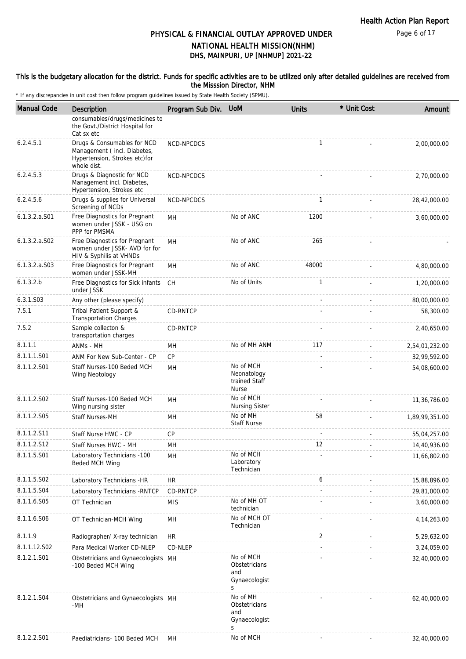### This is the budgetary allocation for the district. Funds for specific activities are to be utilized only after detailed guidelines are received from the Misssion Director, NHM

| <b>Manual Code</b> | Description                                                                                                | Program Sub Div. | <b>UoM</b>                                                | <b>Units</b> | * Unit Cost | Amount         |
|--------------------|------------------------------------------------------------------------------------------------------------|------------------|-----------------------------------------------------------|--------------|-------------|----------------|
|                    | consumables/drugs/medicines to<br>the Govt./District Hospital for<br>Cat sx etc                            |                  |                                                           |              |             |                |
| 6.2.4.5.1          | Drugs & Consumables for NCD<br>Management (incl. Diabetes,<br>Hypertension, Strokes etc)for<br>whole dist. | NCD-NPCDCS       |                                                           | $\mathbf{1}$ |             | 2,00,000.00    |
| 6.2.4.5.3          | Drugs & Diagnostic for NCD<br>Management incl. Diabetes,<br>Hypertension, Strokes etc                      | NCD-NPCDCS       |                                                           |              |             | 2,70,000.00    |
| 6.2.4.5.6          | Drugs & supplies for Universal<br>Screening of NCDs                                                        | NCD-NPCDCS       |                                                           | $\mathbf{1}$ |             | 28,42,000.00   |
| $6.1.3.2.a.$ S01   | Free Diagnostics for Pregnant<br>women under JSSK - USG on<br>PPP for PMSMA                                | MН               | No of ANC                                                 | 1200         |             | 3,60,000.00    |
| $6.1.3.2.a.$ SO2   | Free Diagnostics for Pregnant<br>women under JSSK- AVD for for<br>HIV & Syphilis at VHNDs                  | <b>MH</b>        | No of ANC                                                 | 265          |             |                |
| $6.1.3.2.a.$ SO3   | Free Diagnostics for Pregnant<br>women under JSSK-MH                                                       | MН               | No of ANC                                                 | 48000        |             | 4,80,000.00    |
| 6.1.3.2.b          | Free Diagnostics for Sick infants<br>under JSSK                                                            | <b>CH</b>        | No of Units                                               | $\mathbf{1}$ |             | 1,20,000.00    |
| 6.3.1.S03          | Any other (please specify)                                                                                 |                  |                                                           |              |             | 80,00,000.00   |
| 7.5.1              | Tribal Patient Support &<br><b>Transportation Charges</b>                                                  | CD-RNTCP         |                                                           |              |             | 58,300.00      |
| 7.5.2              | Sample collecton &<br>transportation charges                                                               | CD-RNTCP         |                                                           |              |             | 2,40,650.00    |
| 8.1.1.1            | ANMs - MH                                                                                                  | MН               | No of MH ANM                                              | 117          |             | 2,54,01,232.00 |
| 8.1.1.1.S01        | ANM For New Sub-Center - CP                                                                                | CP               |                                                           |              |             | 32,99,592.00   |
| 8.1.1.2.S01        | Staff Nurses-100 Beded MCH<br>Wing Neotology                                                               | MН               | No of MCH<br>Neonatology<br>trained Staff<br><b>Nurse</b> |              |             | 54,08,600.00   |
| 8.1.1.2.S02        | Staff Nurses-100 Beded MCH<br>Wing nursing sister                                                          | MH               | No of MCH<br>Nursing Sister                               |              |             | 11,36,786.00   |
| 8.1.1.2.S05        | <b>Staff Nurses-MH</b>                                                                                     | MН               | No of MH<br><b>Staff Nurse</b>                            | 58           |             | 1,89,99,351.00 |
| 8.1.1.2.S11        | Staff Nurse HWC - CP                                                                                       | CP               |                                                           |              |             | 55,04,257.00   |
| 8.1.1.2.S12        | Staff Nurses HWC - MH                                                                                      | MН               |                                                           | 12           |             | 14,40,936.00   |
| 8.1.1.5.S01        | Laboratory Technicians -100<br>Beded MCH Wing                                                              | MН               | No of MCH<br>Laboratory<br>Technician                     |              |             | 11,66,802.00   |
| 8.1.1.5.S02        | Laboratory Technicians -HR                                                                                 | <b>HR</b>        |                                                           | 6            |             | 15,88,896.00   |
| 8.1.1.5.S04        | Laboratory Technicians - RNTCP                                                                             | CD-RNTCP         |                                                           |              |             | 29,81,000.00   |
| 8.1.1.6.S05        | OT Technician                                                                                              | <b>MIS</b>       | No of MH OT<br>technician                                 |              |             | 3,60,000.00    |
| 8.1.1.6.S06        | OT Technician-MCH Wing                                                                                     | MН               | No of MCH OT<br>Technician                                |              |             | 4, 14, 263.00  |
| 8.1.1.9            | Radiographer/ X-ray technician                                                                             | <b>HR</b>        |                                                           | 2            |             | 5,29,632.00    |
| 8.1.1.12.S02       | Para Medical Worker CD-NLEP                                                                                | CD-NLEP          |                                                           |              |             | 3,24,059.00    |
| 8.1.2.1.S01        | Obstetricians and Gynaecologists MH<br>-100 Beded MCH Wing                                                 |                  | No of MCH<br>Obstetricians<br>and<br>Gynaecologist<br>S   |              |             | 32,40,000.00   |
| 8.1.2.1.S04        | Obstetricians and Gynaecologists MH<br>-MH                                                                 |                  | No of MH<br>Obstetricians<br>and<br>Gynaecologist<br>S    |              |             | 62,40,000.00   |
| 8.1.2.2.S01        | Paediatricians- 100 Beded MCH                                                                              | MН               | No of MCH                                                 |              |             | 32,40,000.00   |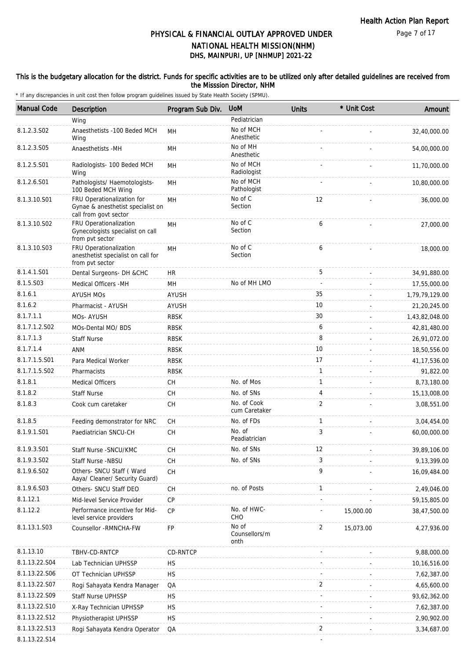### This is the budgetary allocation for the district. Funds for specific activities are to be utilized only after detailed guidelines are received from the Misssion Director, NHM

| <b>Manual Code</b> | <b>Description</b>                                                                       | Program Sub Div. | <b>UoM</b>                     | <b>Units</b>   | * Unit Cost | Amount         |
|--------------------|------------------------------------------------------------------------------------------|------------------|--------------------------------|----------------|-------------|----------------|
|                    | Wing                                                                                     |                  | Pediatrician                   |                |             |                |
| 8.1.2.3.S02        | Anaesthetists -100 Beded MCH<br>Wing                                                     | MН               | No of MCH<br>Anesthetic        |                |             | 32,40,000.00   |
| 8.1.2.3.S05        | Anaesthetists -MH                                                                        | MН               | No of MH<br>Anesthetic         |                |             | 54,00,000.00   |
| 8.1.2.5.S01        | Radiologists- 100 Beded MCH<br>Wing                                                      | MH               | No of MCH<br>Radiologist       |                |             | 11,70,000.00   |
| 8.1.2.6.S01        | Pathologists/ Haemotologists-<br>100 Beded MCH Wing                                      | MН               | No of MCH<br>Pathologist       |                |             | 10,80,000.00   |
| 8.1.3.10.S01       | FRU Operationalization for<br>Gynae & anesthetist specialist on<br>call from govt sector | MH               | No of C<br>Section             | 12             |             | 36,000.00      |
| 8.1.3.10.S02       | FRU Operationalization<br>Gynecologists specialist on call<br>from pvt sector            | MН               | No of C<br>Section             | 6              |             | 27,000.00      |
| 8.1.3.10.S03       | FRU Operationalization<br>anesthetist specialist on call for<br>from pvt sector          | MН               | No of C<br>Section             | 6              |             | 18,000.00      |
| 8.1.4.1.S01        | Dental Surgeons- DH &CHC                                                                 | <b>HR</b>        |                                | 5              |             | 34,91,880.00   |
| 8.1.5.S03          | Medical Officers -MH                                                                     | MH               | No of MH LMO                   | $\omega$       |             | 17,55,000.00   |
| 8.1.6.1            | <b>AYUSH MOS</b>                                                                         | <b>AYUSH</b>     |                                | 35             |             | 1,79,79,129.00 |
| 8.1.6.2            | Pharmacist - AYUSH                                                                       | AYUSH            |                                | 10             |             | 21,20,245.00   |
| 8.1.7.1.1          | MOs- AYUSH                                                                               | <b>RBSK</b>      |                                | 30             |             | 1,43,82,048.00 |
| 8.1.7.1.2.S02      | MOs-Dental MO/ BDS                                                                       | <b>RBSK</b>      |                                | 6              |             | 42,81,480.00   |
| 8.1.7.1.3          | <b>Staff Nurse</b>                                                                       | <b>RBSK</b>      |                                | 8              |             | 26,91,072.00   |
| 8.1.7.1.4          | <b>ANM</b>                                                                               | <b>RBSK</b>      |                                | 10             |             | 18,50,556.00   |
| 8.1.7.1.5.S01      | Para Medical Worker                                                                      | <b>RBSK</b>      |                                | 17             |             | 41, 17, 536.00 |
| 8.1.7.1.5.S02      | Pharmacists                                                                              | <b>RBSK</b>      |                                | $\mathbf{1}$   |             | 91,822.00      |
| 8.1.8.1            | <b>Medical Officers</b>                                                                  | СH               | No. of Mos                     | $\mathbf{1}$   |             | 8,73,180.00    |
| 8.1.8.2            | <b>Staff Nurse</b>                                                                       | <b>CH</b>        | No. of SNs                     | 4              |             | 15,13,008.00   |
| 8.1.8.3            | Cook cum caretaker                                                                       | CH               | No. of Cook<br>cum Caretaker   | 2              |             | 3,08,551.00    |
| 8.1.8.5            | Feeding demonstrator for NRC                                                             | <b>CH</b>        | No. of FDs                     | $\mathbf{1}$   |             | 3,04,454.00    |
| 8.1.9.1.S01        | Paediatrician SNCU-CH                                                                    | CH               | No. of<br>Peadiatrician        | 3              |             | 60,00,000.00   |
| 8.1.9.3.S01        | Staff Nurse - SNCU/KMC                                                                   | CH               | No. of SNs                     | 12             |             | 39,89,106.00   |
| 8.1.9.3.S02        | Staff Nurse -NBSU                                                                        | CH               | No. of SNs                     | 3              |             | 9,13,399.00    |
| 8.1.9.6.S02        | Others- SNCU Staff (Ward<br>Aaya/ Cleaner/ Security Guard)                               | CH               |                                | 9              |             | 16,09,484.00   |
| 8.1.9.6.S03        | Others- SNCU Staff DEO                                                                   | CH               | no. of Posts                   | $\mathbf{1}$   |             | 2,49,046.00    |
| 8.1.12.1           | Mid-level Service Provider                                                               | CP               |                                |                |             | 59, 15, 805.00 |
| 8.1.12.2           | Performance incentive for Mid-<br>level service providers                                | CP               | No. of HWC-<br>CHO             |                | 15,000.00   | 38,47,500.00   |
| 8.1.13.1.S03       | Counsellor - RMNCHA-FW                                                                   | FP               | No of<br>Counsellors/m<br>onth | $\overline{2}$ | 15,073.00   | 4,27,936.00    |
| 8.1.13.10          | TBHV-CD-RNTCP                                                                            | CD-RNTCP         |                                |                |             | 9,88,000.00    |
| 8.1.13.22.S04      | Lab Technician UPHSSP                                                                    | <b>HS</b>        |                                |                |             | 10,16,516.00   |
| 8.1.13.22.S06      | OT Technician UPHSSP                                                                     | <b>HS</b>        |                                |                |             | 7,62,387.00    |
| 8.1.13.22.S07      | Rogi Sahayata Kendra Manager                                                             | QA               |                                | 2              |             | 4,65,600.00    |
| 8.1.13.22.S09      | <b>Staff Nurse UPHSSP</b>                                                                | <b>HS</b>        |                                |                |             | 93,62,362.00   |
| 8.1.13.22.S10      | X-Ray Technician UPHSSP                                                                  | <b>HS</b>        |                                |                |             | 7,62,387.00    |
| 8.1.13.22.S12      | Physiotherapist UPHSSP                                                                   | <b>HS</b>        |                                |                |             | 2,90,902.00    |
| 8.1.13.22.S13      | Rogi Sahayata Kendra Operator                                                            | QA               |                                | 2              |             | 3,34,687.00    |
| 8.1.13.22.S14      |                                                                                          |                  |                                |                |             |                |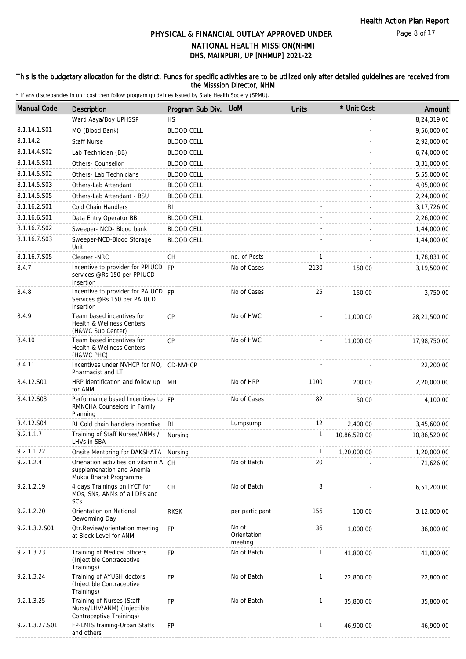### This is the budgetary allocation for the district. Funds for specific activities are to be utilized only after detailed guidelines are received from the Misssion Director, NHM

| <b>Manual Code</b> | Description                                                                                  | Program Sub Div.  | <b>UoM</b>                      | <b>Units</b> | * Unit Cost  | Amount       |
|--------------------|----------------------------------------------------------------------------------------------|-------------------|---------------------------------|--------------|--------------|--------------|
|                    | Ward Aaya/Boy UPHSSP                                                                         | <b>HS</b>         |                                 |              |              | 8,24,319.00  |
| 8.1.14.1.S01       | MO (Blood Bank)                                                                              | <b>BLOOD CELL</b> |                                 |              |              | 9,56,000.00  |
| 8.1.14.2           | <b>Staff Nurse</b>                                                                           | <b>BLOOD CELL</b> |                                 |              |              | 2,92,000.00  |
| 8.1.14.4.S02       | Lab Technician (BB)                                                                          | <b>BLOOD CELL</b> |                                 |              |              | 6,74,000.00  |
| 8.1.14.5.S01       | Others- Counsellor                                                                           | <b>BLOOD CELL</b> |                                 |              |              | 3,31,000.00  |
| 8.1.14.5.S02       | Others- Lab Technicians                                                                      | <b>BLOOD CELL</b> |                                 |              |              | 5,55,000.00  |
| 8.1.14.5.S03       | Others-Lab Attendant                                                                         | <b>BLOOD CELL</b> |                                 |              |              | 4,05,000.00  |
| 8.1.14.5.S05       | Others-Lab Attendant - BSU                                                                   | <b>BLOOD CELL</b> |                                 |              |              | 2,24,000.00  |
| 8.1.16.2.S01       | Cold Chain Handlers                                                                          | RI                |                                 |              |              | 3,17,726.00  |
| 8.1.16.6.S01       | Data Entry Operator BB                                                                       | <b>BLOOD CELL</b> |                                 |              |              | 2,26,000.00  |
| 8.1.16.7.S02       | Sweeper- NCD- Blood bank                                                                     | <b>BLOOD CELL</b> |                                 |              |              | 1,44,000.00  |
| 8.1.16.7.S03       | Sweeper-NCD-Blood Storage                                                                    | <b>BLOOD CELL</b> |                                 |              |              | 1,44,000.00  |
|                    | Unit                                                                                         |                   |                                 |              |              |              |
| 8.1.16.7.S05       | Cleaner -NRC                                                                                 | СH                | no. of Posts                    | $\mathbf{1}$ |              | 1,78,831.00  |
| 8.4.7              | Incentive to provider for PPIUCD FP<br>services @Rs 150 per PPIUCD<br>insertion              |                   | No of Cases                     | 2130         | 150.00       | 3,19,500.00  |
| 8.4.8              | Incentive to provider for PAIUCD FP<br>Services @Rs 150 per PAIUCD<br>insertion              |                   | No of Cases                     | 25           | 150.00       | 3,750.00     |
| 8.4.9              | Team based incentives for<br>Health & Wellness Centers<br>(H&WC Sub Center)                  | CP                | No of HWC                       |              | 11,000.00    | 28,21,500.00 |
| 8.4.10             | Team based incentives for<br>Health & Wellness Centers<br>(H&WC PHC)                         | CP                | No of HWC                       |              | 11,000.00    | 17,98,750.00 |
| 8.4.11             | Incentives under NVHCP for MO, CD-NVHCP<br>Pharmacist and LT                                 |                   |                                 |              |              | 22,200.00    |
| 8.4.12.S01         | HRP identification and follow up<br>for ANM                                                  | MH                | No of HRP                       | 1100         | 200.00       | 2,20,000.00  |
| 8.4.12.S03         | Performance based Incentives to FP<br>RMNCHA Counselors in Family<br>Planning                |                   | No of Cases                     | 82           | 50.00        | 4,100.00     |
| 8.4.12.S04         | RI Cold chain handlers incentive RI                                                          |                   | Lumpsump                        | 12           | 2,400.00     | 3,45,600.00  |
| 9.2.1.1.7          | Training of Staff Nurses/ANMs /<br>LHVs in SBA                                               | Nursing           |                                 | 1            | 10,86,520.00 | 10,86,520.00 |
| 9.2.1.1.22         | Onsite Mentoring for DAKSHATA Nursing                                                        |                   |                                 | 1            | 1,20,000.00  | 1,20,000.00  |
| 9.2.1.2.4          | Orienation activities on vitamin A CH<br>supplemenation and Anemia<br>Mukta Bharat Programme |                   | No of Batch                     | 20           |              | 71,626.00    |
| 9.2.1.2.19         | 4 days Trainings on IYCF for<br>MOs, SNs, ANMs of all DPs and<br>SCs                         | CH                | No of Batch                     | 8            |              | 6,51,200.00  |
| 9.2.1.2.20         | Orientation on National<br>Deworming Day                                                     | <b>RKSK</b>       | per participant                 | 156          | 100.00       | 3,12,000.00  |
| 9.2.1.3.2.S01      | Otr.Review/orientation meeting<br>at Block Level for ANM                                     | <b>FP</b>         | No of<br>Orientation<br>meeting | 36           | 1,000.00     | 36,000.00    |
| 9.2.1.3.23         | Training of Medical officers<br>(Injectible Contraceptive<br>Trainings)                      | <b>FP</b>         | No of Batch                     | $\mathbf{1}$ | 41,800.00    | 41,800.00    |
| 9.2.1.3.24         | Training of AYUSH doctors<br>(Injectible Contraceptive)<br>Trainings)                        | <b>FP</b>         | No of Batch                     | $\mathbf{1}$ | 22,800.00    | 22,800.00    |
| 9.2.1.3.25         | Training of Nurses (Staff<br>Nurse/LHV/ANM) (Injectible<br>Contraceptive Trainings)          | FP                | No of Batch                     | $\mathbf{1}$ | 35,800.00    | 35,800.00    |
| 9.2.1.3.27.S01     | FP-LMIS training-Urban Staffs<br>and others                                                  | FP                |                                 | $\mathbf{1}$ | 46,900.00    | 46,900.00    |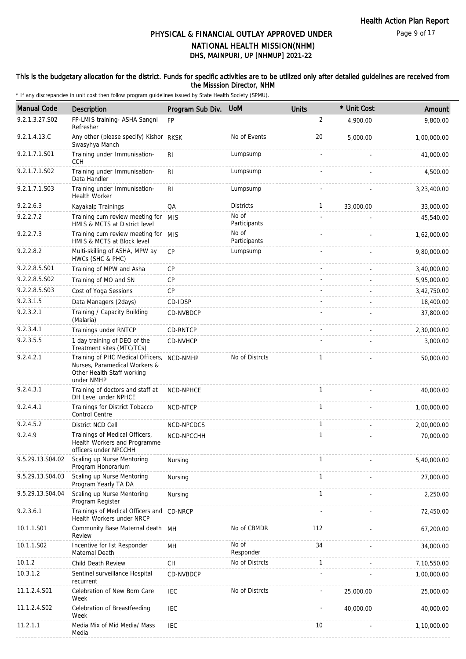### This is the budgetary allocation for the district. Funds for specific activities are to be utilized only after detailed guidelines are received from the Misssion Director, NHM

| <b>Manual Code</b> | Description                                                                                                    | Program Sub Div. | <b>UoM</b>            | <b>Units</b> | * Unit Cost | Amount      |
|--------------------|----------------------------------------------------------------------------------------------------------------|------------------|-----------------------|--------------|-------------|-------------|
| 9.2.1.3.27.S02     | FP-LMIS training- ASHA Sangni<br>Refresher                                                                     | <b>FP</b>        |                       | 2            | 4.900.00    | 9,800.00    |
| 9.2.1.4.13.C       | Any other (please specify) Kishor RKSK<br>Swasyhya Manch                                                       |                  | No of Events          | 20           | 5,000.00    | 1,00,000.00 |
| 9.2.1.7.1.S01      | Training under Immunisation-<br><b>CCH</b>                                                                     | R <sub>l</sub>   | Lumpsump              |              |             | 41,000.00   |
| 9.2.1.7.1.S02      | Training under Immunisation-<br>Data Handler                                                                   | RI.              | Lumpsump              |              |             | 4,500.00    |
| 9.2.1.7.1.S03      | Training under Immunisation-<br>Health Worker                                                                  | RI               | Lumpsump              |              |             | 3,23,400.00 |
| 9.2.2.6.3          | Kayakalp Trainings                                                                                             | QA               | <b>Districts</b>      | $\mathbf{1}$ | 33,000.00   | 33,000.00   |
| 9.2.2.7.2          | Training cum review meeting for MIS<br>HMIS & MCTS at District level                                           |                  | No of<br>Participants |              |             | 45,540.00   |
| 9.2.2.7.3          | Training cum review meeting for MIS<br>HMIS & MCTS at Block level                                              |                  | No of<br>Participants |              |             | 1,62,000.00 |
| 9.2.2.8.2          | Multi-skilling of ASHA, MPW ay<br>HWCs (SHC & PHC)                                                             | CP               | Lumpsump              |              |             | 9,80,000.00 |
| 9.2.2.8.5.S01      | Training of MPW and Asha                                                                                       | <b>CP</b>        |                       |              |             | 3,40,000.00 |
| 9.2.2.8.5.S02      | Training of MO and SN                                                                                          | <b>CP</b>        |                       |              |             | 5,95,000.00 |
| 9.2.2.8.5.S03      | Cost of Yoga Sessions                                                                                          | <b>CP</b>        |                       |              |             | 3,42,750.00 |
| 9.2.3.1.5          | Data Managers (2days)                                                                                          | CD-IDSP          |                       |              |             | 18,400.00   |
| 9.2.3.2.1          | Training / Capacity Building<br>(Malaria)                                                                      | CD-NVBDCP        |                       |              |             | 37,800.00   |
| 9.2.3.4.1          | Trainings under RNTCP                                                                                          | CD-RNTCP         |                       |              |             | 2,30,000.00 |
| 9.2.3.5.5          | 1 day training of DEO of the<br>Treatment sites (MTC/TCs)                                                      | CD-NVHCP         |                       |              |             | 3,000.00    |
| 9.2.4.2.1          | Training of PHC Medical Officers,<br>Nurses, Paramedical Workers &<br>Other Health Staff working<br>under NMHP | NCD-NMHP         | No of Distrcts        | $\mathbf{1}$ |             | 50,000.00   |
| 9.2.4.3.1          | Training of doctors and staff at<br>DH Level under NPHCE                                                       | NCD-NPHCE        |                       | $\mathbf{1}$ |             | 40,000.00   |
| 9.2.4.4.1          | Trainings for District Tobacco<br><b>Control Centre</b>                                                        | NCD-NTCP         |                       | $\mathbf{1}$ |             | 1,00,000.00 |
| 9.2.4.5.2          | District NCD Cell                                                                                              | NCD-NPCDCS       |                       | $\mathbf{1}$ |             | 2,00,000.00 |
| 9.2.4.9            | Trainings of Medical Officers,<br>Health Workers and Programme<br>officers under NPCCHH                        | NCD-NPCCHH       |                       | 1            |             | 70,000.00   |
| 9.5.29.13.S04.02   | Scaling up Nurse Mentoring<br>Program Honorarium                                                               | Nursing          |                       | 1            |             | 5,40,000.00 |
| 9.5.29.13.S04.03   | Scaling up Nurse Mentoring<br>Program Yearly TA DA                                                             | Nursing          |                       | $\mathbf{1}$ |             | 27,000.00   |
| 9.5.29.13.S04.04   | Scaling up Nurse Mentoring<br>Program Register                                                                 | Nursing          |                       | 1            |             | 2,250.00    |
| 9.2.3.6.1          | Trainings of Medical Officers and<br>Health Workers under NRCP                                                 | CD-NRCP          |                       |              |             | 72,450.00   |
| 10.1.1.S01         | Community Base Maternal death MH<br>Review                                                                     |                  | No of CBMDR           | 112          |             | 67,200.00   |
| 10.1.1.S02         | Incentive for 1st Responder<br>Maternal Death                                                                  | MН               | No of<br>Responder    | 34           |             | 34,000.00   |
| 10.1.2             | Child Death Review                                                                                             | <b>CH</b>        | No of Distrcts        | $\mathbf{1}$ |             | 7,10,550.00 |
| 10.3.1.2           | Sentinel surveillance Hospital<br>recurrent                                                                    | CD-NVBDCP        |                       |              |             | 1,00,000.00 |
| 11.1.2.4.S01       | Celebration of New Born Care<br>Week                                                                           | <b>IEC</b>       | No of Distrcts        |              | 25,000.00   | 25,000.00   |
| 11.1.2.4.S02       | Celebration of Breastfeeding<br>Week                                                                           | IEC              |                       |              | 40,000.00   | 40,000.00   |
| 11.2.1.1           | Media Mix of Mid Media/ Mass<br>Media                                                                          | <b>IEC</b>       |                       | 10           |             | 1,10,000.00 |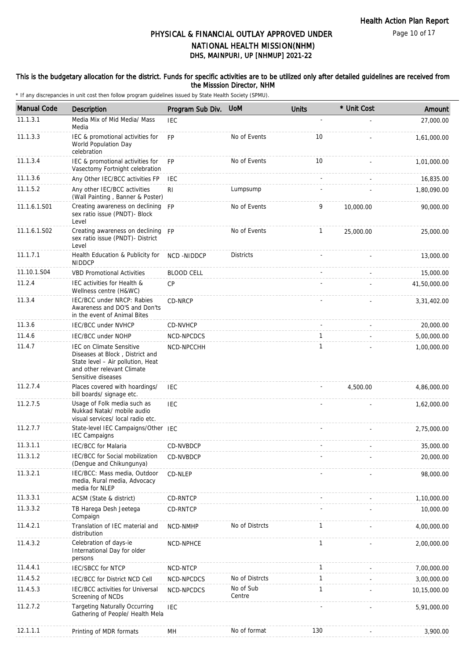Page 10 of 17

# DHS, MAINPURI, UP [NHMUP] 2021-22 PHYSICAL & FINANCIAL OUTLAY APPROVED UNDER NATIONAL HEALTH MISSION(NHM)

### This is the budgetary allocation for the district. Funds for specific activities are to be utilized only after detailed guidelines are received from the Misssion Director, NHM

| <b>Manual Code</b> | Description                                                                                                                                                 | Program Sub Div.  | <b>UoM</b>          | <b>Units</b> | * Unit Cost | Amount       |
|--------------------|-------------------------------------------------------------------------------------------------------------------------------------------------------------|-------------------|---------------------|--------------|-------------|--------------|
| 11.1.3.1           | Media Mix of Mid Media/ Mass<br>Media                                                                                                                       | <b>IEC</b>        |                     |              |             | 27,000.00    |
| 11.1.3.3           | IEC & promotional activities for<br>World Population Day<br>celebration                                                                                     | <b>FP</b>         | No of Events        | 10           |             | 1,61,000.00  |
| 11.1.3.4           | IEC & promotional activities for<br>Vasectomy Fortnight celebration                                                                                         | <b>FP</b>         | No of Events        | 10           |             | 1,01,000.00  |
| 11.1.3.6           | Any Other IEC/BCC activities FP                                                                                                                             | <b>IEC</b>        |                     | $\sim$       |             | 16,835.00    |
| 11.1.5.2           | Any other IEC/BCC activities<br>(Wall Painting, Banner & Poster)                                                                                            | R <sub>1</sub>    | Lumpsump            |              |             | 1,80,090.00  |
| 11.1.6.1.S01       | Creating awareness on declining FP<br>sex ratio issue (PNDT)- Block<br>Level                                                                                |                   | No of Events        | 9            | 10,000.00   | 90,000.00    |
| 11.1.6.1.S02       | Creating awareness on declining FP<br>sex ratio issue (PNDT)- District<br>Level                                                                             |                   | No of Events        | $\mathbf{1}$ | 25,000.00   | 25,000.00    |
| 11.1.7.1           | Health Education & Publicity for<br><b>NIDDCP</b>                                                                                                           | NCD-NIDDCP        | <b>Districts</b>    |              |             | 13,000.00    |
| 11.10.1.S04        | <b>VBD Promotional Activities</b>                                                                                                                           | <b>BLOOD CELL</b> |                     |              |             | 15,000.00    |
| 11.2.4             | IEC activities for Health &<br>Wellness centre (H&WC)                                                                                                       | <b>CP</b>         |                     |              |             | 41,50,000.00 |
| 11.3.4             | IEC/BCC under NRCP: Rabies<br>Awareness and DO'S and Don'ts<br>in the event of Animal Bites                                                                 | CD-NRCP           |                     |              |             | 3,31,402.00  |
| 11.3.6             | <b>IEC/BCC under NVHCP</b>                                                                                                                                  | <b>CD-NVHCP</b>   |                     |              |             | 20,000.00    |
| 11.4.6             | <b>IEC/BCC under NOHP</b>                                                                                                                                   | NCD-NPCDCS        |                     | $\mathbf{1}$ |             | 5,00,000.00  |
| 11.4.7             | <b>IEC on Climate Sensitive</b><br>Diseases at Block, District and<br>State level - Air pollution, Heat<br>and other relevant Climate<br>Sensitive diseases | NCD-NPCCHH        |                     | 1            |             | 1,00,000.00  |
| 11.2.7.4           | Places covered with hoardings/<br>bill boards/ signage etc.                                                                                                 | <b>IEC</b>        |                     |              | 4,500.00    | 4,86,000.00  |
| 11.2.7.5           | Usage of Folk media such as<br>Nukkad Natak/ mobile audio<br>visual services/ local radio etc.                                                              | <b>IEC</b>        |                     |              |             | 1.62.000.00  |
| 11.2.7.7           | State-level IEC Campaigns/Other IEC<br><b>IEC Campaigns</b>                                                                                                 |                   |                     |              |             | 2,75,000.00  |
| 11.3.1.1           | <b>IEC/BCC</b> for Malaria                                                                                                                                  | CD-NVBDCP         |                     |              |             | 35,000.00    |
| 11.3.1.2           | IEC/BCC for Social mobilization<br>(Dengue and Chikungunya)                                                                                                 | CD-NVBDCP         |                     |              |             | 20,000.00    |
| 11.3.2.1           | IEC/BCC: Mass media, Outdoor<br>media, Rural media, Advocacy<br>media for NLEP                                                                              | CD-NLEP           |                     |              |             | 98,000.00    |
| 11.3.3.1           | ACSM (State & district)                                                                                                                                     | <b>CD-RNTCP</b>   |                     |              |             | 1,10,000.00  |
| 11.3.3.2           | TB Harega Desh Jeetega<br>Compaign                                                                                                                          | CD-RNTCP          |                     |              |             | 10,000.00    |
| 11.4.2.1           | Translation of IEC material and<br>distribution                                                                                                             | NCD-NMHP          | No of Distrcts      | $\mathbf{1}$ |             | 4,00,000.00  |
| 11.4.3.2           | Celebration of days-ie<br>International Day for older<br>persons                                                                                            | NCD-NPHCE         |                     | $\mathbf{1}$ |             | 2,00,000.00  |
| 11.4.4.1           | <b>IEC/SBCC for NTCP</b>                                                                                                                                    | NCD-NTCP          |                     | 1            |             | 7,00,000.00  |
| 11.4.5.2           | IEC/BCC for District NCD Cell                                                                                                                               | NCD-NPCDCS        | No of Distrcts      | $\mathbf{1}$ |             | 3,00,000.00  |
| 11.4.5.3           | IEC/BCC activities for Universal<br>Screening of NCDs                                                                                                       | NCD-NPCDCS        | No of Sub<br>Centre | $\mathbf{1}$ |             | 10,15,000.00 |
| 11.2.7.2           | <b>Targeting Naturally Occurring</b><br>Gathering of People/ Health Mela                                                                                    | <b>IEC</b>        |                     |              |             | 5,91,000.00  |
| 12.1.1.1           | Printing of MDR formats                                                                                                                                     | MH                | No of format        | 130          |             | 3,900.00     |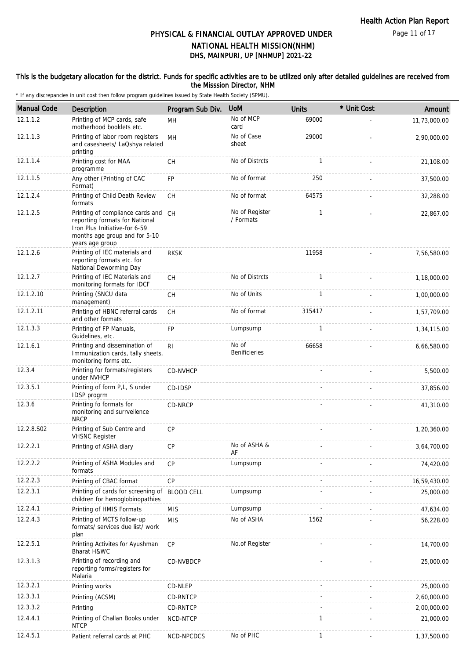### This is the budgetary allocation for the district. Funds for specific activities are to be utilized only after detailed guidelines are received from the Misssion Director, NHM

| <b>Manual Code</b> | <b>Description</b>                                                                                                                                         | Program Sub Div.  | <b>UoM</b>                    | <b>Units</b> | * Unit Cost | Amount       |
|--------------------|------------------------------------------------------------------------------------------------------------------------------------------------------------|-------------------|-------------------------------|--------------|-------------|--------------|
| 12.1.1.2           | Printing of MCP cards, safe<br>motherhood booklets etc.                                                                                                    | MH                | No of MCP<br>card             | 69000        |             | 11,73,000.00 |
| 12.1.1.3           | Printing of labor room registers<br>and casesheets/ LaQshya related<br>printing                                                                            | MH                | No of Case<br>sheet           | 29000        |             | 2,90,000.00  |
| 12.1.1.4           | Printing cost for MAA<br>programme                                                                                                                         | СH                | No of Distrcts                | $\mathbf{1}$ |             | 21,108.00    |
| 12.1.1.5           | Any other (Printing of CAC<br>Format)                                                                                                                      | <b>FP</b>         | No of format                  | 250          |             | 37,500.00    |
| 12.1.2.4           | Printing of Child Death Review<br>formats                                                                                                                  | <b>CH</b>         | No of format                  | 64575        |             | 32,288.00    |
| 12.1.2.5           | Printing of compliance cards and CH<br>reporting formats for National<br>Iron Plus Initiative-for 6-59<br>months age group and for 5-10<br>years age group |                   | No of Register<br>/ Formats   | $\mathbf{1}$ |             | 22,867.00    |
| 12.1.2.6           | Printing of IEC materials and<br>reporting formats etc. for<br>National Deworming Day                                                                      | <b>RKSK</b>       |                               | 11958        |             | 7,56,580.00  |
| 12.1.2.7           | Printing of IEC Materials and<br>monitoring formats for IDCF                                                                                               | CH                | No of Distrcts                | $\mathbf{1}$ |             | 1,18,000.00  |
| 12.1.2.10          | Printing (SNCU data<br>management)                                                                                                                         | <b>CH</b>         | No of Units                   | $\mathbf{1}$ |             | 1,00,000.00  |
| 12.1.2.11          | Printing of HBNC referral cards<br>and other formats                                                                                                       | <b>CH</b>         | No of format                  | 315417       |             | 1,57,709.00  |
| 12.1.3.3           | Printing of FP Manuals,<br>Guidelines, etc.                                                                                                                | <b>FP</b>         | Lumpsump                      | $\mathbf{1}$ |             | 1,34,115.00  |
| 12.1.6.1           | Printing and dissemination of<br>Immunization cards, tally sheets,<br>monitoring forms etc.                                                                | R <sub>l</sub>    | No of<br><b>Benificieries</b> | 66658        |             | 6,66,580.00  |
| 12.3.4             | Printing for formats/registers<br>under NVHCP                                                                                                              | <b>CD-NVHCP</b>   |                               |              |             | 5,500.00     |
| 12.3.5.1           | Printing of form P,L, S under<br>IDSP progrm                                                                                                               | CD-IDSP           |                               |              |             | 37,856.00    |
| 12.3.6             | Printing fo formats for<br>monitoring and surrveilence<br><b>NRCP</b>                                                                                      | CD-NRCP           |                               |              |             | 41,310.00    |
| 12.2.8.S02         | Printing of Sub Centre and<br><b>VHSNC Register</b>                                                                                                        | CP                |                               |              |             | 1,20,360.00  |
| 12.2.2.1           | Printing of ASHA diary                                                                                                                                     | CP                | No of ASHA &<br>AF            |              |             | 3,64,700.00  |
| 12.2.2.2           | Printing of ASHA Modules and<br>formats                                                                                                                    | <b>CP</b>         | Lumpsump                      |              |             | 74,420.00    |
| 12.2.2.3           | Printing of CBAC format                                                                                                                                    | CP                |                               |              |             | 16,59,430.00 |
| 12.2.3.1           | Printing of cards for screening of<br>children for hemoglobinopathies                                                                                      | <b>BLOOD CELL</b> | Lumpsump                      |              |             | 25,000.00    |
| 12.2.4.1           | Printing of HMIS Formats                                                                                                                                   | <b>MIS</b>        | Lumpsump                      |              |             | 47,634.00    |
| 12.2.4.3           | Printing of MCTS follow-up<br>formats/ services due list/ work<br>plan                                                                                     | <b>MIS</b>        | No of ASHA                    | 1562         |             | 56,228.00    |
| 12.2.5.1           | Printing Activites for Ayushman<br>Bharat H&WC                                                                                                             | <b>CP</b>         | No.of Register                |              |             | 14,700.00    |
| 12.3.1.3           | Printing of recording and<br>reporting forms/registers for<br>Malaria                                                                                      | CD-NVBDCP         |                               |              |             | 25,000.00    |
| 12.3.2.1           | Printing works                                                                                                                                             | CD-NLEP           |                               |              |             | 25,000.00    |
| 12.3.3.1           | Printing (ACSM)                                                                                                                                            | CD-RNTCP          |                               |              |             | 2,60,000.00  |
| 12.3.3.2           | Printing                                                                                                                                                   | CD-RNTCP          |                               |              |             | 2,00,000.00  |
| 12.4.4.1           | Printing of Challan Books under<br><b>NTCP</b>                                                                                                             | NCD-NTCP          |                               | 1            |             | 21,000.00    |
| 12.4.5.1           | Patient referral cards at PHC                                                                                                                              | NCD-NPCDCS        | No of PHC                     | $\mathbf{1}$ |             | 1,37,500.00  |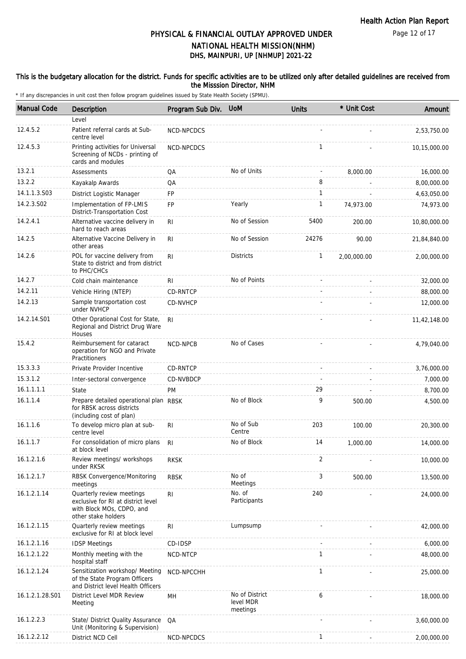Page 12 of 17

# DHS, MAINPURI, UP [NHMUP] 2021-22 PHYSICAL & FINANCIAL OUTLAY APPROVED UNDER NATIONAL HEALTH MISSION(NHM)

### This is the budgetary allocation for the district. Funds for specific activities are to be utilized only after detailed guidelines are received from the Misssion Director, NHM

| <b>Manual Code</b> | Description                                                                                                         | Program Sub Div. | <b>UoM</b>                              | <b>Units</b>   | * Unit Cost    | Amount       |
|--------------------|---------------------------------------------------------------------------------------------------------------------|------------------|-----------------------------------------|----------------|----------------|--------------|
|                    | Level                                                                                                               |                  |                                         |                |                |              |
| 12.4.5.2           | Patient referral cards at Sub-<br>centre level                                                                      | NCD-NPCDCS       |                                         |                |                | 2,53,750.00  |
| 12.4.5.3           | Printing activities for Universal<br>Screening of NCDs - printing of<br>cards and modules                           | NCD-NPCDCS       |                                         | $\mathbf{1}$   |                | 10,15,000.00 |
| 13.2.1             | Assessments                                                                                                         | QA               | No of Units                             |                | 8,000.00       | 16,000.00    |
| 13.2.2             | Kayakalp Awards                                                                                                     | QA               |                                         | 8              |                | 8,00,000.00  |
| 14.1.1.3.S03       | District Logistic Manager                                                                                           | FP               |                                         | $\mathbf{1}$   |                | 4,63,050.00  |
| 14.2.3.S02         | Implementation of FP-LMIS<br>District-Transportation Cost                                                           | <b>FP</b>        | Yearly                                  | $\mathbf{1}$   | 74,973.00      | 74,973.00    |
| 14.2.4.1           | Alternative vaccine delivery in<br>hard to reach areas                                                              | R <sub>l</sub>   | No of Session                           | 5400           | 200.00         | 10,80,000.00 |
| 14.2.5             | Alternative Vaccine Delivery in<br>other areas                                                                      | RI               | No of Session                           | 24276          | 90.00          | 21,84,840.00 |
| 14.2.6             | POL for vaccine delivery from<br>State to district and from district<br>to PHC/CHCs                                 | R <sub>l</sub>   | <b>Districts</b>                        | 1              | 2,00,000.00    | 2,00,000.00  |
| 14.2.7             | Cold chain maintenance                                                                                              | RI.              | No of Points                            |                | $\overline{a}$ | 32,000.00    |
| 14.2.11            | Vehicle Hiring (NTEP)                                                                                               | CD-RNTCP         |                                         |                |                | 88,000.00    |
| 14.2.13            | Sample transportation cost<br>under NVHCP                                                                           | CD-NVHCP         |                                         |                |                | 12,000.00    |
| 14.2.14.S01        | Other Oprational Cost for State,<br>Regional and District Drug Ware<br>Houses                                       | R <sub>l</sub>   |                                         |                |                | 11,42,148.00 |
| 15.4.2             | Reimbursement for cataract<br>operation for NGO and Private<br>Practitioners                                        | <b>NCD-NPCB</b>  | No of Cases                             |                |                | 4,79,040.00  |
| 15.3.3.3           | Private Provider Incentive                                                                                          | CD-RNTCP         |                                         |                |                | 3,76,000.00  |
| 15.3.1.2           | Inter-sectoral convergence                                                                                          | CD-NVBDCP        |                                         |                |                | 7,000.00     |
| 16.1.1.1.1         | State                                                                                                               | <b>PM</b>        |                                         | 29             |                | 8,700.00     |
| 16.1.1.4           | Prepare detailed operational plan RBSK<br>for RBSK across districts<br>(including cost of plan)                     |                  | No of Block                             | 9              | 500.00         | 4,500.00     |
| 16.1.1.6           | To develop micro plan at sub-<br>centre level                                                                       | R <sub>l</sub>   | No of Sub<br>Centre                     | 203            | 100.00         | 20,300.00    |
| 16.1.1.7           | For consolidation of micro plans RI<br>at block level                                                               |                  | No of Block                             | 14             | 1,000.00       | 14,000.00    |
| 16.1.2.1.6         | Review meetings/ workshops<br>under RKSK                                                                            | <b>RKSK</b>      |                                         | $\overline{2}$ |                | 10,000.00    |
| 16.1.2.1.7         | RBSK Convergence/Monitoring<br>meetings                                                                             | <b>RBSK</b>      | No of<br>Meetings                       | 3              | 500.00         | 13,500.00    |
| 16.1.2.1.14        | Quarterly review meetings<br>exclusive for RI at district level<br>with Block MOs, CDPO, and<br>other stake holders | R <sub>l</sub>   | No. of<br>Participants                  | 240            |                | 24,000.00    |
| 16.1.2.1.15        | Quarterly review meetings<br>exclusive for RI at block level                                                        | R <sub>l</sub>   | Lumpsump                                |                |                | 42,000.00    |
| 16.1.2.1.16        | <b>IDSP Meetings</b>                                                                                                | CD-IDSP          |                                         |                |                | 6,000.00     |
| 16.1.2.1.22        | Monthly meeting with the<br>hospital staff                                                                          | NCD-NTCP         |                                         | 1              |                | 48,000.00    |
| 16.1.2.1.24        | Sensitization workshop/ Meeting<br>of the State Program Officers<br>and District level Health Officers              | NCD-NPCCHH       |                                         | $\mathbf{1}$   |                | 25,000.00    |
| 16.1.2.1.28.S01    | District Level MDR Review<br>Meeting                                                                                | MH               | No of District<br>level MDR<br>meetings | 6              |                | 18,000.00    |
| 16.1.2.2.3         | State/ District Quality Assurance<br>Unit (Monitoring & Supervision)                                                | QA               |                                         |                |                | 3,60,000.00  |
| 16.1.2.2.12        | District NCD Cell                                                                                                   | NCD-NPCDCS       |                                         | $\mathbf{1}$   |                | 2,00,000.00  |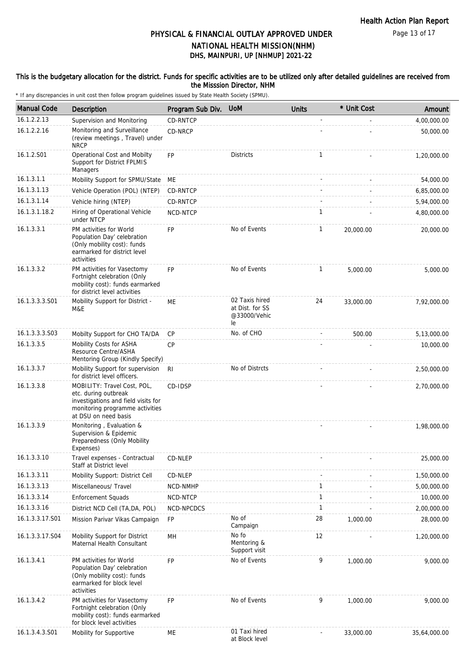### This is the budgetary allocation for the district. Funds for specific activities are to be utilized only after detailed guidelines are received from the Misssion Director, NHM

| <b>Manual Code</b> | Description                                                                                                                                           | Program Sub Div. | <b>UoM</b>                                              | <b>Units</b> | * Unit Cost | Amount       |
|--------------------|-------------------------------------------------------------------------------------------------------------------------------------------------------|------------------|---------------------------------------------------------|--------------|-------------|--------------|
| 16.1.2.2.13        | Supervision and Monitoring                                                                                                                            | CD-RNTCP         |                                                         |              |             | 4,00,000.00  |
| 16.1.2.2.16        | Monitoring and Surveillance<br>(review meetings, Travel) under<br><b>NRCP</b>                                                                         | CD-NRCP          |                                                         |              |             | 50,000.00    |
| 16.1.2.S01         | Operational Cost and Mobilty<br>Support for District FPLMIS<br>Managers                                                                               | FP               | <b>Districts</b>                                        | 1            |             | 1,20,000.00  |
| 16.1.3.1.1         | Mobility Support for SPMU/State                                                                                                                       | ME               |                                                         |              |             | 54,000.00    |
| 16.1.3.1.13        | Vehicle Operation (POL) (NTEP)                                                                                                                        | CD-RNTCP         |                                                         |              |             | 6,85,000.00  |
| 16.1.3.1.14        | Vehicle hiring (NTEP)                                                                                                                                 | CD-RNTCP         |                                                         |              |             | 5,94,000.00  |
| 16.1.3.1.18.2      | Hiring of Operational Vehicle<br>under NTCP                                                                                                           | NCD-NTCP         |                                                         | $\mathbf{1}$ |             | 4,80,000.00  |
| 16.1.3.3.1         | PM activities for World<br>Population Day' celebration<br>(Only mobility cost): funds<br>earmarked for district level<br>activities                   | FP               | No of Events                                            | $\mathbf{1}$ | 20,000.00   | 20,000.00    |
| 16.1.3.3.2         | PM activities for Vasectomy<br>Fortnight celebration (Only<br>mobility cost): funds earmarked<br>for district level activities                        | FP               | No of Events                                            | $\mathbf{1}$ | 5,000.00    | 5,000.00     |
| 16.1.3.3.3.S01     | Mobility Support for District -<br>M&E                                                                                                                | ME               | 02 Taxis hired<br>at Dist. for SS<br>@33000/Vehic<br>le | 24           | 33,000.00   | 7,92,000.00  |
| 16.1.3.3.3.S03     | Mobilty Support for CHO TA/DA                                                                                                                         | <b>CP</b>        | No. of CHO                                              |              | 500.00      | 5,13,000.00  |
| 16.1.3.3.5         | Mobility Costs for ASHA<br>Resource Centre/ASHA<br>Mentoring Group (Kindly Specify)                                                                   | CP               |                                                         |              |             | 10,000.00    |
| 16.1.3.3.7         | Mobility Support for supervision<br>for district level officers.                                                                                      | R <sub>l</sub>   | No of Distrcts                                          |              |             | 2,50,000.00  |
| 16.1.3.3.8         | MOBILITY: Travel Cost, POL,<br>etc. during outbreak<br>investigations and field visits for<br>monitoring programme activities<br>at DSU on need basis | CD-IDSP          |                                                         |              |             | 2,70,000.00  |
| 16.1.3.3.9         | Monitoring, Evaluation &<br>Supervision & Epidemic<br>Preparedness (Only Mobility<br>Expenses)                                                        |                  |                                                         |              |             | 1,98,000.00  |
| 16.1.3.3.10        | Travel expenses - Contractual<br>Staff at District level                                                                                              | CD-NLEP          |                                                         |              |             | 25,000.00    |
| 16.1.3.3.11        | Mobility Support: District Cell                                                                                                                       | CD-NLEP          |                                                         |              |             | 1,50,000.00  |
| 16.1.3.3.13        | Miscellaneous/ Travel                                                                                                                                 | NCD-NMHP         |                                                         | $\mathbf{1}$ |             | 5,00,000.00  |
| 16.1.3.3.14        | <b>Enforcement Squads</b>                                                                                                                             | NCD-NTCP         |                                                         | $\mathbf{1}$ |             | 10,000.00    |
| 16.1.3.3.16        | District NCD Cell (TA, DA, POL)                                                                                                                       | NCD-NPCDCS       |                                                         | $\mathbf{1}$ |             | 2,00,000.00  |
| 16.1.3.3.17.S01    | Mission Parivar Vikas Campaign                                                                                                                        | FP               | No of<br>Campaign                                       | 28           | 1,000.00    | 28,000.00    |
| 16.1.3.3.17.S04    | Mobility Support for District<br>Maternal Health Consultant                                                                                           | MH               | No fo<br>Mentoring &<br>Support visit                   | 12           |             | 1,20,000.00  |
| 16.1.3.4.1         | PM activities for World<br>Population Day' celebration<br>(Only mobility cost): funds<br>earmarked for block level<br>activities                      | <b>FP</b>        | No of Events                                            | 9            | 1,000.00    | 9,000.00     |
| 16.1.3.4.2         | PM activities for Vasectomy<br>Fortnight celebration (Only<br>mobility cost): funds earmarked<br>for block level activities                           | <b>FP</b>        | No of Events                                            | 9            | 1,000.00    | 9,000.00     |
| 16.1.3.4.3.S01     | Mobility for Supportive                                                                                                                               | ME               | 01 Taxi hired<br>at Block level                         |              | 33,000.00   | 35,64,000.00 |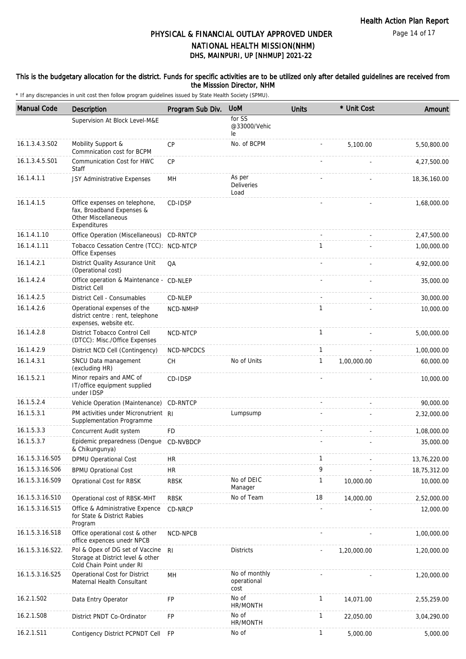### This is the budgetary allocation for the district. Funds for specific activities are to be utilized only after detailed guidelines are received from the Misssion Director, NHM

| <b>Manual Code</b> | Description                                                                                       | Program Sub Div. | <b>UoM</b>                                     | <b>Units</b> | * Unit Cost | Amount       |
|--------------------|---------------------------------------------------------------------------------------------------|------------------|------------------------------------------------|--------------|-------------|--------------|
|                    | Supervision At Block Level-M&E                                                                    |                  | for SS<br>@33000/Vehic<br>le                   |              |             |              |
| 16.1.3.4.3.S02     | Mobility Support &<br>Commnication cost for BCPM                                                  | <b>CP</b>        | No. of BCPM                                    |              | 5,100.00    | 5,50,800.00  |
| 16.1.3.4.5.S01     | Communication Cost for HWC<br>Staff                                                               | CP               |                                                |              |             | 4,27,500.00  |
| 16.1.4.1.1         | JSY Administrative Expenses                                                                       | MН               | As per<br>Deliveries<br>Load                   |              |             | 18,36,160.00 |
| 16.1.4.1.5         | Office expenses on telephone,<br>fax, Broadband Expenses &<br>Other Miscellaneous<br>Expenditures | CD-IDSP          |                                                |              |             | 1,68,000.00  |
| 16.1.4.1.10        | Office Operation (Miscellaneous) CD-RNTCP                                                         |                  |                                                |              |             | 2,47,500.00  |
| 16.1.4.1.11        | Tobacco Cessation Centre (TCC): NCD-NTCP<br>Office Expenses                                       |                  |                                                | $\mathbf{1}$ |             | 1,00,000.00  |
| 16.1.4.2.1         | District Quality Assurance Unit<br>(Operational cost)                                             | QA               |                                                |              |             | 4,92,000.00  |
| 16.1.4.2.4         | Office operation & Maintenance - CD-NLEP<br><b>District Cell</b>                                  |                  |                                                |              |             | 35,000.00    |
| 16.1.4.2.5         | District Cell - Consumables                                                                       | CD-NLEP          |                                                |              |             | 30,000.00    |
| 16.1.4.2.6         | Operational expenses of the<br>district centre : rent, telephone<br>expenses, website etc.        | NCD-NMHP         |                                                | $\mathbf{1}$ |             | 10,000.00    |
| 16.1.4.2.8         | District Tobacco Control Cell<br>(DTCC): Misc./Office Expenses                                    | NCD-NTCP         |                                                | $\mathbf{1}$ |             | 5,00,000.00  |
| 16.1.4.2.9         | District NCD Cell (Contingency)                                                                   | NCD-NPCDCS       |                                                | $\mathbf{1}$ |             | 1,00,000.00  |
| 16.1.4.3.1         | SNCU Data management<br>(excluding HR)                                                            | <b>CH</b>        | No of Units                                    | 1            | 1,00,000.00 | 60,000.00    |
| 16.1.5.2.1         | Minor repairs and AMC of<br>IT/office equipment supplied<br>under IDSP                            | CD-IDSP          |                                                |              |             | 10,000.00    |
| 16.1.5.2.4         | Vehicle Operation (Maintenance)                                                                   | CD-RNTCP         |                                                |              |             | 90,000.00    |
| 16.1.5.3.1         | PM activities under Micronutrient RI<br>Supplementation Programme                                 |                  | Lumpsump                                       |              |             | 2,32,000.00  |
| 16.1.5.3.3         | Concurrent Audit system                                                                           | FD               |                                                |              |             | 1,08,000.00  |
| 16.1.5.3.7         | Epidemic preparedness (Dengue CD-NVBDCP<br>& Chikungunya)                                         |                  |                                                |              |             | 35,000.00    |
| 16.1.5.3.16.S05    | DPMU Operational Cost                                                                             | <b>HR</b>        |                                                | $\mathbf{1}$ |             | 13,76,220.00 |
| 16.1.5.3.16.S06    | <b>BPMU Oprational Cost</b>                                                                       | HR               |                                                | 9            |             | 18,75,312.00 |
| 16.1.5.3.16.S09    | Oprational Cost for RBSK                                                                          | <b>RBSK</b>      | No of DEIC<br>Manager                          | $\mathbf{1}$ | 10,000.00   | 10,000.00    |
| 16.1.5.3.16.S10    | Operational cost of RBSK-MHT                                                                      | <b>RBSK</b>      | No of Team                                     | 18           | 14,000.00   | 2,52,000.00  |
| 16.1.5.3.16.S15    | Office & Administrative Expence<br>for State & District Rabies<br>Program                         | CD-NRCP          |                                                |              |             | 12,000.00    |
| 16.1.5.3.16.S18    | Office operational cost & other<br>office expences unedr NPCB                                     | NCD-NPCB         |                                                |              |             | 1,00,000.00  |
| 16.1.5.3.16.S22.   | Pol & Opex of DG set of Vaccine<br>Storage at District level & other<br>Cold Chain Point under RI | R <sub>l</sub>   | Districts                                      |              | 1,20,000.00 | 1,20,000.00  |
| 16.1.5.3.16.S25    | Operational Cost for District<br>Maternal Health Consultant                                       | MH               | No of monthly<br>operational<br>cost           |              |             | 1,20,000.00  |
| 16.2.1.S02         | Data Entry Operator                                                                               | FP               | No of<br>$\mathbf{1}$<br>14,071.00<br>HR/MONTH |              | 2,55,259.00 |              |
| 16.2.1.S08         | District PNDT Co-Ordinator                                                                        | <b>FP</b>        | No of<br>HR/MONTH                              | 1            | 22,050.00   | 3,04,290.00  |
| 16.2.1.S11         | Contigency District PCPNDT Cell                                                                   | <b>FP</b>        | No of                                          | 1            | 5,000.00    | 5,000.00     |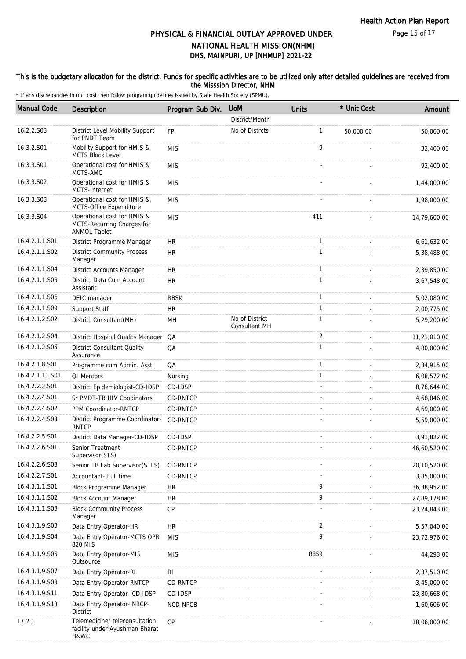### This is the budgetary allocation for the district. Funds for specific activities are to be utilized only after detailed guidelines are received from the Misssion Director, NHM

| <b>Manual Code</b> | Description                                                                      | Program Sub Div. | <b>UoM</b>                      | Units        | * Unit Cost              | Amount         |
|--------------------|----------------------------------------------------------------------------------|------------------|---------------------------------|--------------|--------------------------|----------------|
|                    |                                                                                  |                  | District/Month                  |              |                          |                |
| 16.2.2.S03         | District Level Mobility Support<br>for PNDT Team                                 | <b>FP</b>        | No of Distrcts                  | $\mathbf{1}$ | 50,000.00                | 50,000.00      |
| 16.3.2.S01         | Mobility Support for HMIS &<br>MCTS Block Level                                  | <b>MIS</b>       |                                 | 9            |                          | 32,400.00      |
| 16.3.3.S01         | Operational cost for HMIS &<br>MCTS-AMC                                          | <b>MIS</b>       |                                 |              |                          | 92,400.00      |
| 16.3.3.S02         | Operational cost for HMIS &<br>MCTS-Internet                                     | <b>MIS</b>       |                                 |              |                          | 1,44,000.00    |
| 16.3.3.S03         | Operational cost for HMIS &<br>MCTS-Office Expenditure                           | <b>MIS</b>       |                                 |              |                          | 1,98,000.00    |
| 16.3.3.S04         | Operational cost for HMIS &<br>MCTS-Recurring Charges for<br><b>ANMOL Tablet</b> | <b>MIS</b>       |                                 | 411          |                          | 14,79,600.00   |
| 16.4.2.1.1.S01     | District Programme Manager                                                       | <b>HR</b>        |                                 | $\mathbf{1}$ |                          | 6,61,632.00    |
| 16.4.2.1.1.S02     | <b>District Community Process</b><br>Manager                                     | <b>HR</b>        |                                 | $\mathbf{1}$ |                          | 5,38,488.00    |
| 16.4.2.1.1.S04     | District Accounts Manager                                                        | <b>HR</b>        |                                 | $\mathbf{1}$ |                          | 2,39,850.00    |
| 16.4.2.1.1.S05     | District Data Cum Account<br>Assistant                                           | <b>HR</b>        |                                 | $\mathbf{1}$ |                          | 3,67,548.00    |
| 16.4.2.1.1.S06     | DEIC manager                                                                     | <b>RBSK</b>      |                                 | $\mathbf{1}$ |                          | 5,02,080.00    |
| 16.4.2.1.1.S09     | Support Staff                                                                    | <b>HR</b>        |                                 | $\mathbf{1}$ |                          | 2,00,775.00    |
| 16.4.2.1.2.S02     | District Consultant(MH)                                                          | MH               | No of District<br>Consultant MH | $\mathbf{1}$ |                          | 5,29,200.00    |
| 16.4.2.1.2.S04     | District Hospital Quality Manager QA                                             |                  |                                 | 2            |                          | 11,21,010.00   |
| 16.4.2.1.2.S05     | <b>District Consultant Quality</b><br>Assurance                                  | QA               |                                 | $\mathbf{1}$ |                          | 4,80,000.00    |
| 16.4.2.1.8.S01     | Programme cum Admin. Asst.                                                       | QA               |                                 | $\mathbf{1}$ | $\overline{\phantom{a}}$ | 2,34,915.00    |
| 16.4.2.1.11.S01    | QI Mentors                                                                       | Nursing          |                                 | $\mathbf{1}$ |                          | 6,08,572.00    |
| 16.4.2.2.2.S01     | District Epidemiologist-CD-IDSP                                                  | CD-IDSP          |                                 |              |                          | 8,78,644.00    |
| 16.4.2.2.4.S01     | Sr PMDT-TB HIV Coodinators                                                       | <b>CD-RNTCP</b>  |                                 |              |                          | 4,68,846.00    |
| 16.4.2.2.4.S02     | PPM Coordinator-RNTCP                                                            | <b>CD-RNTCP</b>  |                                 |              |                          | 4,69,000.00    |
| 16.4.2.2.4.S03     | District Programme Coordinator-<br><b>RNTCP</b>                                  | CD-RNTCP         |                                 |              |                          | 5,59,000.00    |
| 16.4.2.2.5.S01     | District Data Manager-CD-IDSP                                                    | CD-IDSP          |                                 |              |                          | 3,91,822.00    |
| 16.4.2.2.6.S01     | Senior Treatment<br>Supervisor(STS)                                              | CD-RNTCP         |                                 |              |                          | 46.60.520.00   |
| 16.4.2.2.6.S03     | Senior TB Lab Supervisor(STLS)                                                   | CD-RNTCP         |                                 |              |                          | 20,10,520.00   |
| 16.4.2.2.7.S01     | Accountant- Full time                                                            | <b>CD-RNTCP</b>  |                                 |              |                          | 3,85,000.00    |
| 16.4.3.1.1.S01     | <b>Block Programme Manager</b>                                                   | HR               |                                 | 9            |                          | 36, 38, 952.00 |
| 16.4.3.1.1.S02     | <b>Block Account Manager</b>                                                     | <b>HR</b>        |                                 | 9            |                          | 27,89,178.00   |
| 16.4.3.1.1.S03     | <b>Block Community Process</b><br>Manager                                        | CP               |                                 |              |                          | 23,24,843.00   |
| 16.4.3.1.9.S03     | Data Entry Operator-HR                                                           | <b>HR</b>        |                                 | 2            |                          | 5,57,040.00    |
| 16.4.3.1.9.S04     | Data Entry Operator-MCTS OPR<br>820 MIS                                          | <b>MIS</b>       |                                 | 9            |                          | 23,72,976.00   |
| 16.4.3.1.9.S05     | Data Entry Operator-MIS<br>Outsource                                             | <b>MIS</b>       |                                 | 8859         |                          | 44,293.00      |
| 16.4.3.1.9.S07     | Data Entry Operator-RI                                                           | RI               |                                 |              |                          | 2,37,510.00    |
| 16.4.3.1.9.S08     | Data Entry Operator-RNTCP                                                        | CD-RNTCP         |                                 |              |                          | 3,45,000.00    |
| 16.4.3.1.9.S11     | Data Entry Operator- CD-IDSP                                                     | CD-IDSP          |                                 |              |                          | 23,80,668.00   |
| 16.4.3.1.9.S13     | Data Entry Operator- NBCP-<br><b>District</b>                                    | NCD-NPCB         |                                 |              |                          | 1,60,606.00    |
| 17.2.1             | Telemedicine/ teleconsultation<br>facility under Ayushman Bharat<br>H&WC         | <b>CP</b>        |                                 |              |                          | 18,06,000.00   |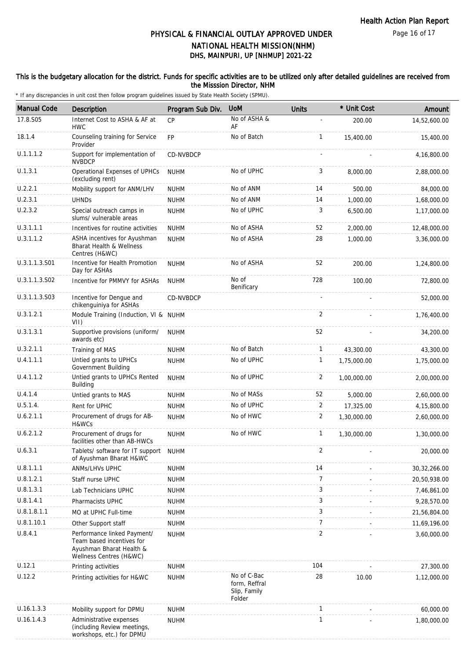### This is the budgetary allocation for the district. Funds for specific activities are to be utilized only after detailed guidelines are received from the Misssion Director, NHM

| <b>Manual Code</b> | <b>Description</b>                                                                                              | Program Sub Div. | <b>UoM</b>                                             | <b>Units</b>   | * Unit Cost | Amount         |
|--------------------|-----------------------------------------------------------------------------------------------------------------|------------------|--------------------------------------------------------|----------------|-------------|----------------|
| 17.8.S05           | Internet Cost to ASHA & AF at                                                                                   | CP               | No of ASHA &                                           |                | 200.00      | 14,52,600.00   |
| 18.1.4             | <b>HWC</b><br>Counseling training for Service                                                                   | <b>FP</b>        | AF<br>No of Batch                                      | $\mathbf{1}$   |             |                |
|                    | Provider                                                                                                        |                  |                                                        |                | 15,400.00   | 15,400.00      |
| U.1.1.1.2          | Support for implementation of<br><b>NVBDCP</b>                                                                  | CD-NVBDCP        |                                                        |                |             | 4,16,800.00    |
| U.1.3.1            | Operational Expenses of UPHCs<br>(excluding rent)                                                               | <b>NUHM</b>      | No of UPHC                                             | 3              | 8,000.00    | 2,88,000.00    |
| U.2.2.1            | Mobility support for ANM/LHV                                                                                    | <b>NUHM</b>      | No of ANM                                              | 14             | 500.00      | 84,000.00      |
| U.2.3.1            | <b>UHNDs</b>                                                                                                    | <b>NUHM</b>      | No of ANM                                              | 14             | 1,000.00    | 1,68,000.00    |
| U.2.3.2            | Special outreach camps in<br>slums/ vulnerable areas                                                            | <b>NUHM</b>      | No of UPHC                                             | 3              | 6,500.00    | 1,17,000.00    |
| U.3.1.1.1          | Incentives for routine activities                                                                               | <b>NUHM</b>      | No of ASHA                                             | 52             | 2,000.00    | 12,48,000.00   |
| U.3.1.1.2          | ASHA incentives for Ayushman<br>Bharat Health & Wellness<br>Centres (H&WC)                                      | <b>NUHM</b>      | No of ASHA                                             | 28             | 1,000.00    | 3,36,000.00    |
| U.3.1.1.3.S01      | Incentive for Health Promotion<br>Day for ASHAs                                                                 | <b>NUHM</b>      | No of ASHA                                             | 52             | 200.00      | 1,24,800.00    |
| U.3.1.1.3.S02      | Incentive for PMMVY for ASHAs                                                                                   | <b>NUHM</b>      | No of<br>Benificary                                    | 728            | 100.00      | 72,800.00      |
| U.3.1.1.3.S03      | Incentive for Dengue and<br>chikenguiniya for ASHAs                                                             | CD-NVBDCP        |                                                        |                |             | 52,000.00      |
| U.3.1.2.1          | Module Training (Induction, VI & NUHM<br>VII)                                                                   |                  |                                                        | $\overline{2}$ |             | 1,76,400.00    |
| U.3.1.3.1          | Supportive provisions (uniform/<br>awards etc)                                                                  | <b>NUHM</b>      |                                                        | 52             |             | 34,200.00      |
| U.3.2.1.1          | Training of MAS                                                                                                 | <b>NUHM</b>      | No of Batch                                            | $\mathbf{1}$   | 43,300.00   | 43,300.00      |
| U.4.1.1.1          | Untied grants to UPHCs<br>Government Building                                                                   | <b>NUHM</b>      | No of UPHC                                             | $\mathbf{1}$   | 1,75,000.00 | 1,75,000.00    |
| U.4.1.1.2          | Untied grants to UPHCs Rented<br>Building                                                                       | <b>NUHM</b>      | No of UPHC                                             | $\overline{2}$ | 1,00,000.00 | 2,00,000.00    |
| U.4.1.4            | Untied grants to MAS                                                                                            | <b>NUHM</b>      | No of MASs                                             | 52             | 5,000.00    | 2,60,000.00    |
| U.5.1.4.           | Rent for UPHC                                                                                                   | <b>NUHM</b>      | No of UPHC                                             | 2              | 17,325.00   | 4,15,800.00    |
| U.6.2.1.1          | Procurement of drugs for AB-<br>H&WCs                                                                           | <b>NUHM</b>      | No of HWC                                              | 2              | 1,30,000.00 | 2,60,000.00    |
| U.6.2.1.2          | Procurement of drugs for<br>facilities other than AB-HWCs                                                       | <b>NUHM</b>      | No of HWC                                              | $\mathbf{1}$   | 1,30,000.00 | 1,30,000.00    |
| U.6.3.1            | Tablets/ software for IT support<br>of Ayushman Bharat H&WC                                                     | <b>NUHM</b>      |                                                        | 2              |             | 20,000.00      |
| U.8.1.1.1          | ANMs/LHVs UPHC                                                                                                  | <b>NUHM</b>      |                                                        | 14             |             | 30, 32, 266.00 |
| U.8.1.2.1          | Staff nurse UPHC                                                                                                | <b>NUHM</b>      |                                                        | 7              |             | 20,50,938.00   |
| U.8.1.3.1          | Lab Technicians UPHC                                                                                            | <b>NUHM</b>      |                                                        | 3              |             | 7,46,861.00    |
| U.8.1.4.1          | Pharmacists UPHC                                                                                                | <b>NUHM</b>      |                                                        | 3              |             | 9,28,570.00    |
| U.8.1.8.1.1        | MO at UPHC Full-time                                                                                            | <b>NUHM</b>      |                                                        | 3              |             | 21,56,804.00   |
| U.8.1.10.1         | Other Support staff                                                                                             | <b>NUHM</b>      |                                                        | $\overline{7}$ |             | 11,69,196.00   |
| U.8.4.1            | Performance linked Payment/<br>Team based incentives for<br>Ayushman Bharat Health &<br>Wellness Centres (H&WC) | <b>NUHM</b>      |                                                        | $\overline{2}$ |             | 3,60,000.00    |
| U.12.1             | Printing activities                                                                                             | <b>NUHM</b>      |                                                        | 104            |             | 27,300.00      |
| U.12.2             | Printing activities for H&WC                                                                                    | <b>NUHM</b>      | No of C-Bac<br>form, Reffral<br>Slip, Family<br>Folder | 28             | 10.00       | 1,12,000.00    |
| U.16.1.3.3         | Mobility support for DPMU                                                                                       | <b>NUHM</b>      |                                                        | $\mathbf{1}$   |             | 60,000.00      |
| U.16.1.4.3         | Administrative expenses<br>(including Review meetings,<br>workshops, etc.) for DPMU                             | <b>NUHM</b>      |                                                        | 1              |             | 1,80,000.00    |